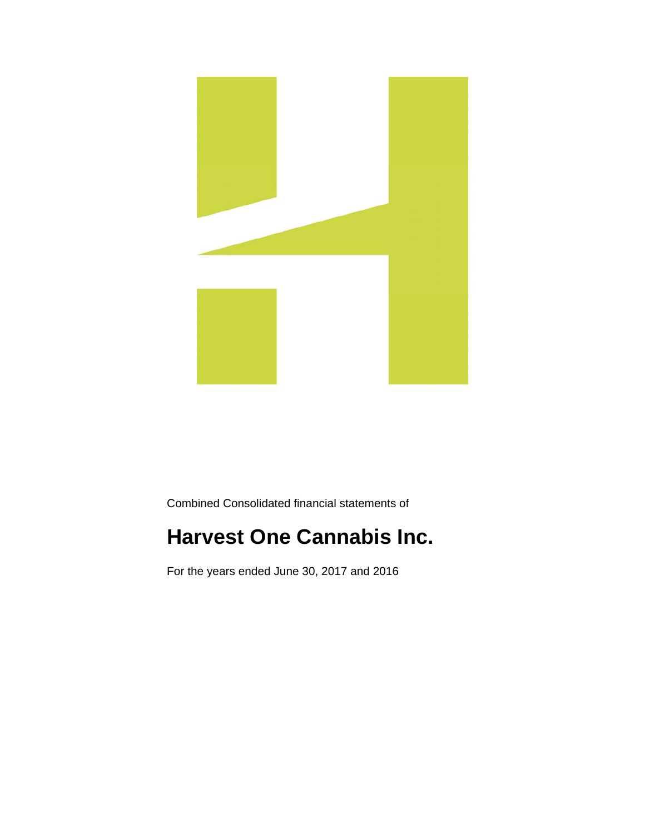

Combined Consolidated financial statements of

# **Harvest One Cannabis Inc.**

For the years ended June 30, 2017 and 2016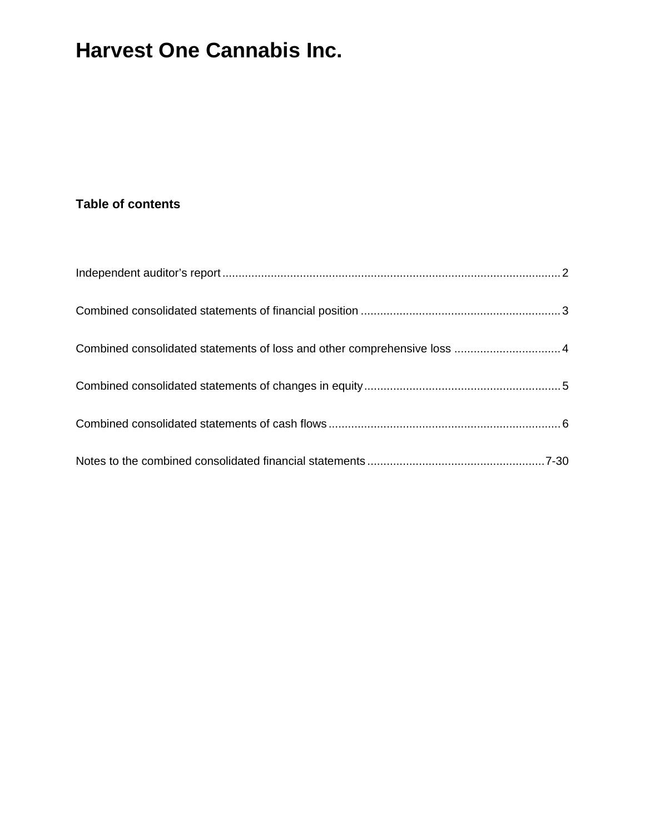### **Table of contents**

| Combined consolidated statements of loss and other comprehensive loss  4 |  |
|--------------------------------------------------------------------------|--|
|                                                                          |  |
|                                                                          |  |
|                                                                          |  |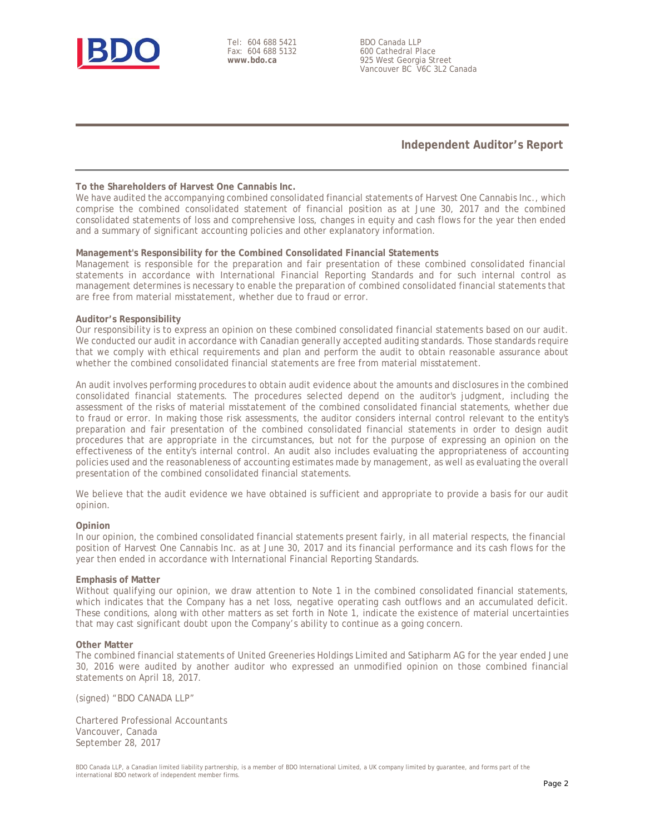

Tel: 604 688 5421 Fax: 604 688 5132 **www.bdo.ca** 

BDO Canada LLP 600 Cathedral Place 925 West Georgia Street Vancouver BC V6C 3L2 Canada

#### **Independent Auditor's Report**

#### **To the Shareholders of Harvest One Cannabis Inc.**

We have audited the accompanying combined consolidated financial statements of Harvest One Cannabis Inc., which comprise the combined consolidated statement of financial position as at June 30, 2017 and the combined consolidated statements of loss and comprehensive loss, changes in equity and cash flows for the year then ended and a summary of significant accounting policies and other explanatory information.

#### **Management's Responsibility for the Combined Consolidated Financial Statements**

Management is responsible for the preparation and fair presentation of these combined consolidated financial statements in accordance with International Financial Reporting Standards and for such internal control as management determines is necessary to enable the preparation of combined consolidated financial statements that are free from material misstatement, whether due to fraud or error.

#### **Auditor's Responsibility**

Our responsibility is to express an opinion on these combined consolidated financial statements based on our audit. We conducted our audit in accordance with Canadian generally accepted auditing standards. Those standards require that we comply with ethical requirements and plan and perform the audit to obtain reasonable assurance about whether the combined consolidated financial statements are free from material misstatement.

An audit involves performing procedures to obtain audit evidence about the amounts and disclosures in the combined consolidated financial statements. The procedures selected depend on the auditor's judgment, including the assessment of the risks of material misstatement of the combined consolidated financial statements, whether due to fraud or error. In making those risk assessments, the auditor considers internal control relevant to the entity's preparation and fair presentation of the combined consolidated financial statements in order to design audit procedures that are appropriate in the circumstances, but not for the purpose of expressing an opinion on the effectiveness of the entity's internal control. An audit also includes evaluating the appropriateness of accounting policies used and the reasonableness of accounting estimates made by management, as well as evaluating the overall presentation of the combined consolidated financial statements.

We believe that the audit evidence we have obtained is sufficient and appropriate to provide a basis for our audit opinion.

#### **Opinion**

In our opinion, the combined consolidated financial statements present fairly, in all material respects, the financial position of Harvest One Cannabis Inc. as at June 30, 2017 and its financial performance and its cash flows for the year then ended in accordance with International Financial Reporting Standards.

#### **Emphasis of Matter**

Without qualifying our opinion, we draw attention to Note 1 in the combined consolidated financial statements, which indicates that the Company has a net loss, negative operating cash outflows and an accumulated deficit. These conditions, along with other matters as set forth in Note 1, indicate the existence of material uncertainties that may cast significant doubt upon the Company's ability to continue as a going concern.

#### **Other Matter**

The combined financial statements of United Greeneries Holdings Limited and Satipharm AG for the year ended June 30, 2016 were audited by another auditor who expressed an unmodified opinion on those combined financial statements on April 18, 2017.

(signed) "BDO CANADA LLP"

Chartered Professional Accountants Vancouver, Canada September 28, 2017

BDO Canada LLP, a Canadian limited liability partnership, is a member of BDO International Limited, a UK company limited by guarantee, and forms part of the international BDO network of independent member firms.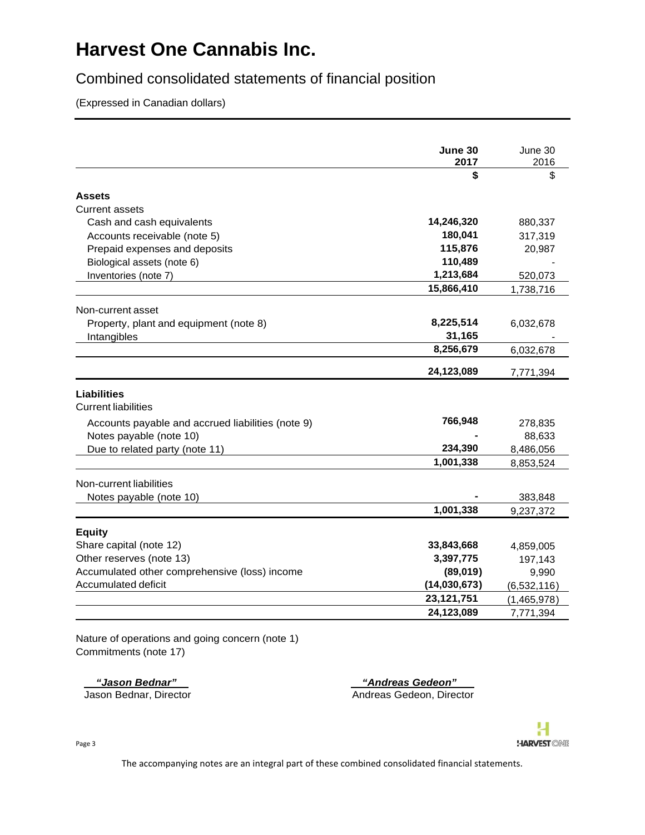### Combined consolidated statements of financial position

(Expressed in Canadian dollars)

|                                                   | June 30      | June 30       |
|---------------------------------------------------|--------------|---------------|
|                                                   | 2017         | 2016          |
|                                                   | \$           | \$            |
| <b>Assets</b>                                     |              |               |
| <b>Current assets</b>                             |              |               |
| Cash and cash equivalents                         | 14,246,320   | 880,337       |
| Accounts receivable (note 5)                      | 180,041      | 317,319       |
| Prepaid expenses and deposits                     | 115,876      | 20,987        |
| Biological assets (note 6)                        | 110,489      |               |
| Inventories (note 7)                              | 1,213,684    | 520,073       |
|                                                   | 15,866,410   | 1,738,716     |
| Non-current asset                                 |              |               |
| Property, plant and equipment (note 8)            | 8,225,514    | 6,032,678     |
| Intangibles                                       | 31,165       |               |
|                                                   | 8,256,679    | 6,032,678     |
|                                                   | 24,123,089   | 7,771,394     |
| <b>Liabilities</b>                                |              |               |
| <b>Current liabilities</b>                        |              |               |
| Accounts payable and accrued liabilities (note 9) | 766,948      | 278,835       |
| Notes payable (note 10)                           |              | 88,633        |
| Due to related party (note 11)                    | 234,390      | 8,486,056     |
|                                                   | 1,001,338    | 8,853,524     |
| Non-current liabilities                           |              |               |
| Notes payable (note 10)                           |              | 383,848       |
|                                                   | 1,001,338    | 9,237,372     |
| <b>Equity</b>                                     |              |               |
| Share capital (note 12)                           | 33,843,668   | 4,859,005     |
| Other reserves (note 13)                          | 3,397,775    | 197,143       |
| Accumulated other comprehensive (loss) income     | (89,019)     | 9,990         |
| Accumulated deficit                               | (14,030,673) | (6, 532, 116) |
|                                                   | 23, 121, 751 | (1,465,978)   |
|                                                   | 24,123,089   | 7,771,394     |

Nature of operations and going concern (note 1) Commitments (note 17)

 *"Jason Bednar" "Andreas Gedeon"*  Jason Bednar, Director **Andreas Gedeon, Director** Andreas Gedeon, Director



Page 3

The accompanying notes are an integral part of these combined consolidated financial statements.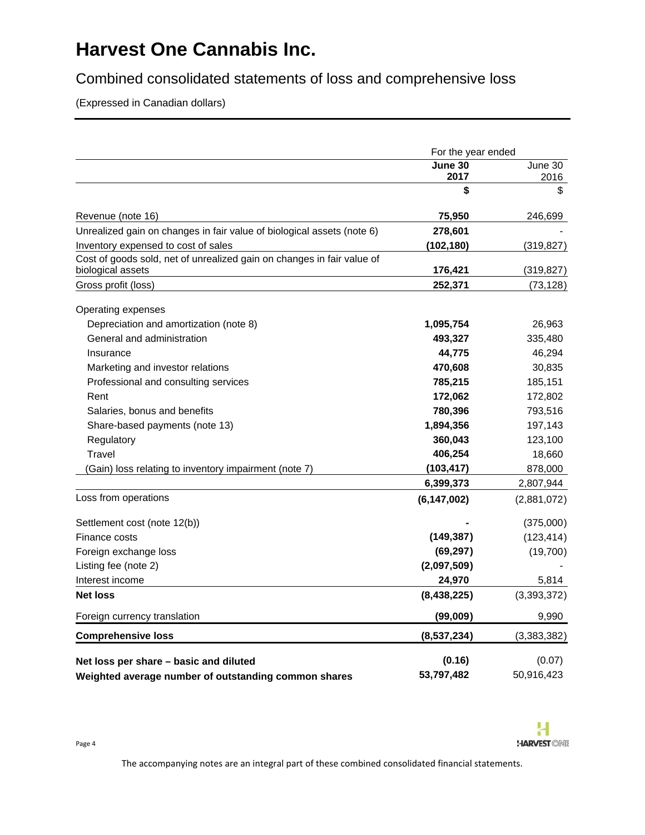Combined consolidated statements of loss and comprehensive loss

(Expressed in Canadian dollars)

|                                                                        | For the year ended |             |
|------------------------------------------------------------------------|--------------------|-------------|
|                                                                        | June 30            | June 30     |
|                                                                        | 2017               | 2016        |
|                                                                        | \$                 | \$          |
| Revenue (note 16)                                                      | 75,950             | 246,699     |
| Unrealized gain on changes in fair value of biological assets (note 6) | 278,601            |             |
| Inventory expensed to cost of sales                                    | (102, 180)         | (319, 827)  |
| Cost of goods sold, net of unrealized gain on changes in fair value of |                    |             |
| biological assets                                                      | 176,421            | (319, 827)  |
| Gross profit (loss)                                                    | 252,371            | (73, 128)   |
| Operating expenses                                                     |                    |             |
| Depreciation and amortization (note 8)                                 | 1,095,754          | 26,963      |
| General and administration                                             | 493,327            | 335,480     |
| Insurance                                                              | 44,775             | 46,294      |
| Marketing and investor relations                                       | 470,608            | 30,835      |
| Professional and consulting services                                   | 785,215            | 185,151     |
| Rent                                                                   | 172,062            | 172,802     |
| Salaries, bonus and benefits                                           | 780,396            | 793,516     |
| Share-based payments (note 13)                                         | 1,894,356          | 197,143     |
| Regulatory                                                             | 360,043            | 123,100     |
| <b>Travel</b>                                                          | 406,254            | 18,660      |
| (Gain) loss relating to inventory impairment (note 7)                  | (103, 417)         | 878,000     |
|                                                                        | 6,399,373          | 2,807,944   |
| Loss from operations                                                   | (6, 147, 002)      | (2,881,072) |
| Settlement cost (note 12(b))                                           |                    | (375,000)   |
| Finance costs                                                          | (149, 387)         | (123, 414)  |
| Foreign exchange loss                                                  | (69, 297)          | (19,700)    |
| Listing fee (note 2)                                                   | (2,097,509)        |             |
| Interest income                                                        | 24,970             | 5,814       |
| <b>Net loss</b>                                                        | (8,438,225)        | (3,393,372) |
| Foreign currency translation                                           | (99,009)           | 9,990       |
| <b>Comprehensive loss</b>                                              | (8,537,234)        | (3,383,382) |
|                                                                        |                    |             |
| Net loss per share – basic and diluted                                 | (0.16)             | (0.07)      |
| Weighted average number of outstanding common shares                   | 53,797,482         | 50,916,423  |

The accompanying notes are an integral part of these combined consolidated financial statements.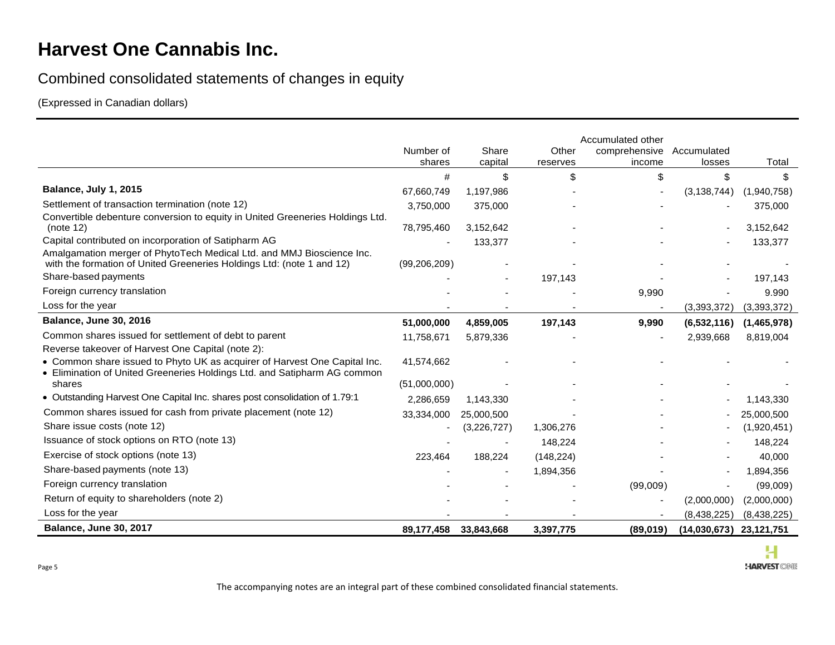### Combined consolidated statements of changes in equity

(Expressed in Canadian dollars)

|                                                                                                                                                | Number of<br>shares | Share<br>capital | Other<br>reserves | Accumulated other<br>comprehensive<br>income | Accumulated<br>losses     | Total       |
|------------------------------------------------------------------------------------------------------------------------------------------------|---------------------|------------------|-------------------|----------------------------------------------|---------------------------|-------------|
|                                                                                                                                                | #                   | \$               | \$                | \$                                           | \$                        | \$          |
| Balance, July 1, 2015                                                                                                                          | 67,660,749          | 1,197,986        |                   |                                              | (3, 138, 744)             | (1,940,758) |
| Settlement of transaction termination (note 12)                                                                                                | 3,750,000           | 375,000          |                   |                                              |                           | 375,000     |
| Convertible debenture conversion to equity in United Greeneries Holdings Ltd.<br>(note 12)                                                     | 78,795,460          | 3,152,642        |                   |                                              |                           | 3,152,642   |
| Capital contributed on incorporation of Satipharm AG                                                                                           |                     | 133,377          |                   |                                              |                           | 133,377     |
| Amalgamation merger of PhytoTech Medical Ltd. and MMJ Bioscience Inc.<br>with the formation of United Greeneries Holdings Ltd: (note 1 and 12) | (99, 206, 209)      |                  |                   |                                              |                           |             |
| Share-based payments                                                                                                                           |                     |                  | 197,143           |                                              |                           | 197,143     |
| Foreign currency translation                                                                                                                   |                     |                  |                   | 9,990                                        |                           | 9.990       |
| Loss for the year                                                                                                                              |                     |                  |                   |                                              | (3,393,372)               | (3,393,372) |
| <b>Balance, June 30, 2016</b>                                                                                                                  | 51,000,000          | 4,859,005        | 197,143           | 9,990                                        | (6,532,116)               | (1,465,978) |
| Common shares issued for settlement of debt to parent                                                                                          | 11,758,671          | 5,879,336        |                   |                                              | 2,939,668                 | 8,819,004   |
| Reverse takeover of Harvest One Capital (note 2):                                                                                              |                     |                  |                   |                                              |                           |             |
| • Common share issued to Phyto UK as acquirer of Harvest One Capital Inc.                                                                      | 41,574,662          |                  |                   |                                              |                           |             |
| • Elimination of United Greeneries Holdings Ltd. and Satipharm AG common<br>shares                                                             | (51,000,000)        |                  |                   |                                              |                           |             |
| • Outstanding Harvest One Capital Inc. shares post consolidation of 1.79:1                                                                     | 2,286,659           | 1,143,330        |                   |                                              |                           | 1,143,330   |
| Common shares issued for cash from private placement (note 12)                                                                                 | 33,334,000          | 25,000,500       |                   |                                              |                           | 25,000,500  |
| Share issue costs (note 12)                                                                                                                    |                     | (3,226,727)      | 1,306,276         |                                              |                           | (1,920,451) |
| Issuance of stock options on RTO (note 13)                                                                                                     |                     |                  | 148,224           |                                              |                           | 148,224     |
| Exercise of stock options (note 13)                                                                                                            | 223,464             | 188,224          | (148, 224)        |                                              |                           | 40,000      |
| Share-based payments (note 13)                                                                                                                 |                     |                  | 1,894,356         |                                              |                           | 1,894,356   |
| Foreign currency translation                                                                                                                   |                     |                  |                   | (99,009)                                     |                           | (99,009)    |
| Return of equity to shareholders (note 2)                                                                                                      |                     |                  |                   |                                              | (2,000,000)               | (2,000,000) |
| Loss for the year                                                                                                                              |                     |                  |                   |                                              | (8,438,225)               | (8,438,225) |
| Balance, June 30, 2017                                                                                                                         | 89,177,458          | 33,843,668       | 3,397,775         | (89,019)                                     | $(14,030,673)$ 23,121,751 |             |

The accompanying notes are an integral part of these combined consolidated financial statements.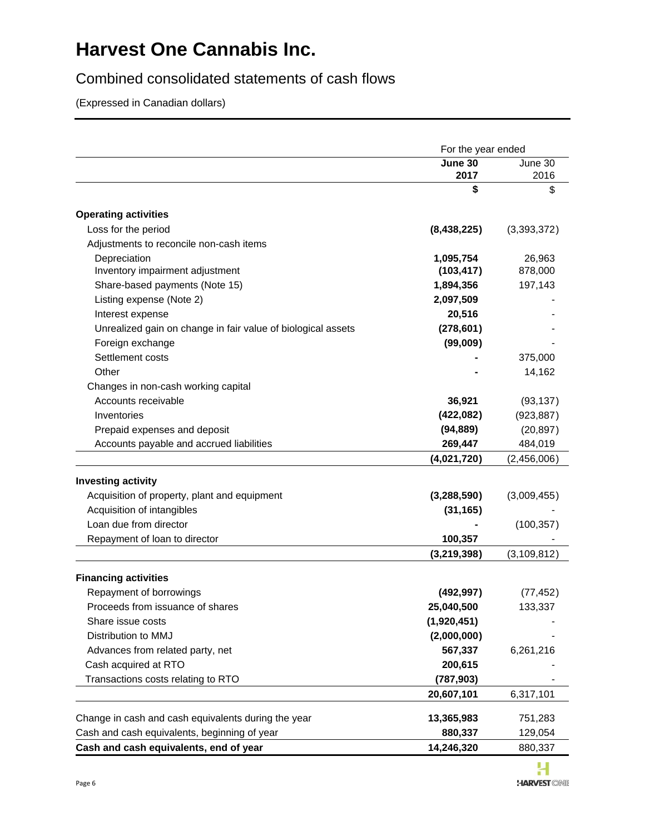### Combined consolidated statements of cash flows

(Expressed in Canadian dollars)

| June 30<br>2017<br><b>Operating activities</b><br>Loss for the period<br>(8,438,225)                            | June 30<br>2016<br>\$<br>\$<br>(3,393,372) |
|-----------------------------------------------------------------------------------------------------------------|--------------------------------------------|
|                                                                                                                 |                                            |
|                                                                                                                 |                                            |
|                                                                                                                 |                                            |
|                                                                                                                 |                                            |
|                                                                                                                 |                                            |
| Adjustments to reconcile non-cash items                                                                         |                                            |
| Depreciation<br>1,095,754                                                                                       | 26,963                                     |
| (103, 417)<br>Inventory impairment adjustment                                                                   | 878,000                                    |
| Share-based payments (Note 15)<br>1,894,356                                                                     | 197,143                                    |
| Listing expense (Note 2)<br>2,097,509                                                                           |                                            |
| Interest expense<br>20,516                                                                                      |                                            |
| Unrealized gain on change in fair value of biological assets<br>(278, 601)                                      |                                            |
| Foreign exchange<br>(99,009)                                                                                    |                                            |
| Settlement costs                                                                                                | 375,000                                    |
| Other                                                                                                           | 14,162                                     |
| Changes in non-cash working capital                                                                             |                                            |
| Accounts receivable<br>36,921                                                                                   | (93, 137)                                  |
| Inventories<br>(422, 082)                                                                                       | (923, 887)                                 |
| (94, 889)<br>Prepaid expenses and deposit                                                                       | (20, 897)                                  |
| Accounts payable and accrued liabilities<br>269,447                                                             | 484,019                                    |
| (4,021,720)                                                                                                     | (2,456,006)                                |
|                                                                                                                 |                                            |
| <b>Investing activity</b>                                                                                       |                                            |
| Acquisition of property, plant and equipment<br>(3, 288, 590)                                                   | (3,009,455)                                |
| Acquisition of intangibles<br>(31, 165)                                                                         |                                            |
| Loan due from director                                                                                          | (100, 357)                                 |
| Repayment of loan to director<br>100,357                                                                        |                                            |
| (3, 219, 398)                                                                                                   | (3, 109, 812)                              |
| <b>Financing activities</b>                                                                                     |                                            |
| Repayment of borrowings<br>(492, 997)                                                                           | (77, 452)                                  |
| Proceeds from issuance of shares<br>25,040,500                                                                  | 133,337                                    |
| (1,920,451)<br>Share issue costs                                                                                |                                            |
| Distribution to MMJ<br>(2,000,000)                                                                              |                                            |
| Advances from related party, net<br>567,337                                                                     | 6,261,216                                  |
| Cash acquired at RTO<br>200,615                                                                                 |                                            |
| Transactions costs relating to RTO<br>(787, 903)                                                                |                                            |
| 20,607,101                                                                                                      | 6,317,101                                  |
| Change in cash and cash equivalents during the year<br>13,365,983                                               | 751,283                                    |
|                                                                                                                 |                                            |
| Cash and cash equivalents, beginning of year<br>880,337<br>Cash and cash equivalents, end of year<br>14,246,320 | 129,054<br>880,337                         |

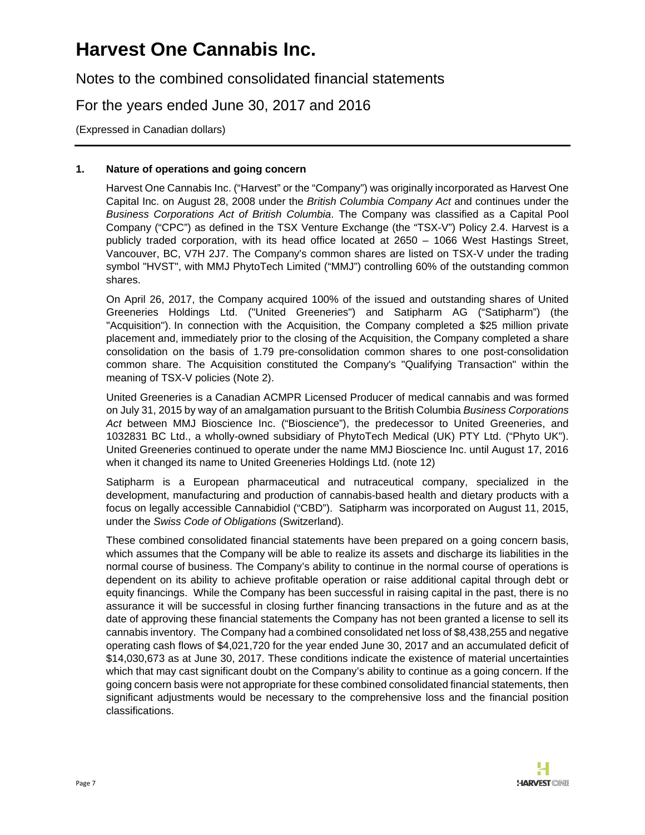Notes to the combined consolidated financial statements

For the years ended June 30, 2017 and 2016

(Expressed in Canadian dollars)

### **1. Nature of operations and going concern**

Harvest One Cannabis Inc. ("Harvest" or the "Company") was originally incorporated as Harvest One Capital Inc. on August 28, 2008 under the *British Columbia Company Act* and continues under the *Business Corporations Act of British Columbia*. The Company was classified as a Capital Pool Company ("CPC") as defined in the TSX Venture Exchange (the "TSX-V") Policy 2.4. Harvest is a publicly traded corporation, with its head office located at 2650 – 1066 West Hastings Street, Vancouver, BC, V7H 2J7. The Company's common shares are listed on TSX-V under the trading symbol "HVST", with MMJ PhytoTech Limited ("MMJ") controlling 60% of the outstanding common shares.

On April 26, 2017, the Company acquired 100% of the issued and outstanding shares of United Greeneries Holdings Ltd. ("United Greeneries") and Satipharm AG ("Satipharm") (the "Acquisition"). In connection with the Acquisition, the Company completed a \$25 million private placement and, immediately prior to the closing of the Acquisition, the Company completed a share consolidation on the basis of 1.79 pre-consolidation common shares to one post-consolidation common share. The Acquisition constituted the Company's "Qualifying Transaction" within the meaning of TSX-V policies (Note 2).

United Greeneries is a Canadian ACMPR Licensed Producer of medical cannabis and was formed on July 31, 2015 by way of an amalgamation pursuant to the British Columbia *Business Corporations Act* between MMJ Bioscience Inc. ("Bioscience"), the predecessor to United Greeneries, and 1032831 BC Ltd., a wholly-owned subsidiary of PhytoTech Medical (UK) PTY Ltd. ("Phyto UK"). United Greeneries continued to operate under the name MMJ Bioscience Inc. until August 17, 2016 when it changed its name to United Greeneries Holdings Ltd. (note 12)

Satipharm is a European pharmaceutical and nutraceutical company, specialized in the development, manufacturing and production of cannabis-based health and dietary products with a focus on legally accessible Cannabidiol ("CBD"). Satipharm was incorporated on August 11, 2015, under the *Swiss Code of Obligations* (Switzerland).

These combined consolidated financial statements have been prepared on a going concern basis, which assumes that the Company will be able to realize its assets and discharge its liabilities in the normal course of business. The Company's ability to continue in the normal course of operations is dependent on its ability to achieve profitable operation or raise additional capital through debt or equity financings. While the Company has been successful in raising capital in the past, there is no assurance it will be successful in closing further financing transactions in the future and as at the date of approving these financial statements the Company has not been granted a license to sell its cannabis inventory. The Company had a combined consolidated net loss of \$8,438,255 and negative operating cash flows of \$4,021,720 for the year ended June 30, 2017 and an accumulated deficit of \$14,030,673 as at June 30, 2017. These conditions indicate the existence of material uncertainties which that may cast significant doubt on the Company's ability to continue as a going concern. If the going concern basis were not appropriate for these combined consolidated financial statements, then significant adjustments would be necessary to the comprehensive loss and the financial position classifications.

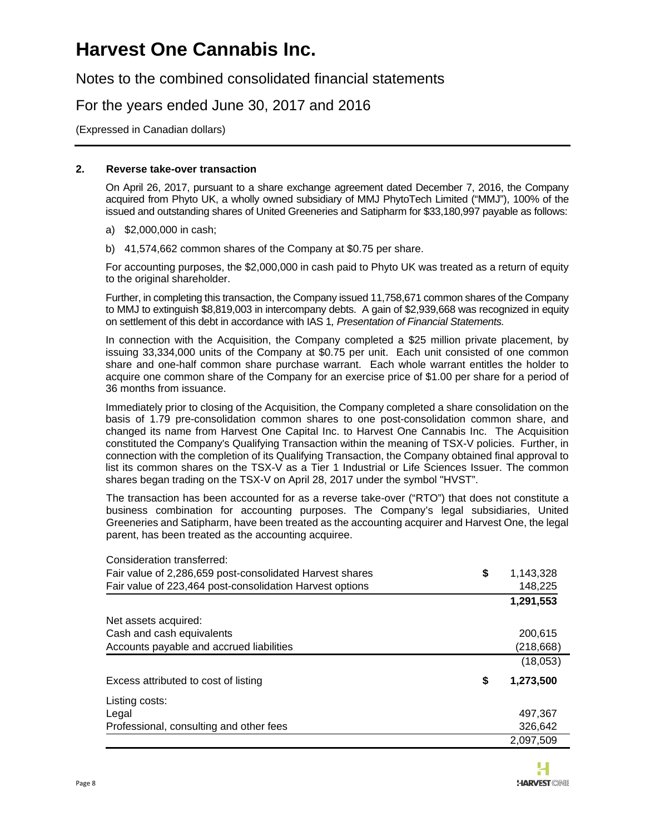Notes to the combined consolidated financial statements

For the years ended June 30, 2017 and 2016

(Expressed in Canadian dollars)

#### **2. Reverse take-over transaction**

On April 26, 2017, pursuant to a share exchange agreement dated December 7, 2016, the Company acquired from Phyto UK, a wholly owned subsidiary of MMJ PhytoTech Limited ("MMJ"), 100% of the issued and outstanding shares of United Greeneries and Satipharm for \$33,180,997 payable as follows:

- a) \$2,000,000 in cash;
- b) 41,574,662 common shares of the Company at \$0.75 per share.

For accounting purposes, the \$2,000,000 in cash paid to Phyto UK was treated as a return of equity to the original shareholder.

Further, in completing this transaction, the Company issued 11,758,671 common shares of the Company to MMJ to extinguish \$8,819,003 in intercompany debts. A gain of \$2,939,668 was recognized in equity on settlement of this debt in accordance with IAS 1*, Presentation of Financial Statements.* 

In connection with the Acquisition, the Company completed a \$25 million private placement, by issuing 33,334,000 units of the Company at \$0.75 per unit. Each unit consisted of one common share and one-half common share purchase warrant. Each whole warrant entitles the holder to acquire one common share of the Company for an exercise price of \$1.00 per share for a period of 36 months from issuance.

Immediately prior to closing of the Acquisition, the Company completed a share consolidation on the basis of 1.79 pre-consolidation common shares to one post-consolidation common share, and changed its name from Harvest One Capital Inc. to Harvest One Cannabis Inc. The Acquisition constituted the Company's Qualifying Transaction within the meaning of TSX-V policies. Further, in connection with the completion of its Qualifying Transaction, the Company obtained final approval to list its common shares on the TSX-V as a Tier 1 Industrial or Life Sciences Issuer. The common shares began trading on the TSX-V on April 28, 2017 under the symbol "HVST".

The transaction has been accounted for as a reverse take-over ("RTO") that does not constitute a business combination for accounting purposes. The Company's legal subsidiaries, United Greeneries and Satipharm, have been treated as the accounting acquirer and Harvest One, the legal parent, has been treated as the accounting acquiree.

| Consideration transferred:                               |                 |
|----------------------------------------------------------|-----------------|
| Fair value of 2,286,659 post-consolidated Harvest shares | \$<br>1,143,328 |
| Fair value of 223,464 post-consolidation Harvest options | 148,225         |
|                                                          | 1,291,553       |
| Net assets acquired:                                     |                 |
| Cash and cash equivalents                                | 200.615         |
| Accounts payable and accrued liabilities                 | (218, 668)      |
|                                                          | (18,053)        |
| Excess attributed to cost of listing                     | \$<br>1,273,500 |
| Listing costs:                                           |                 |
| Legal                                                    | 497,367         |
| Professional, consulting and other fees                  | 326,642         |
|                                                          | 2,097,509       |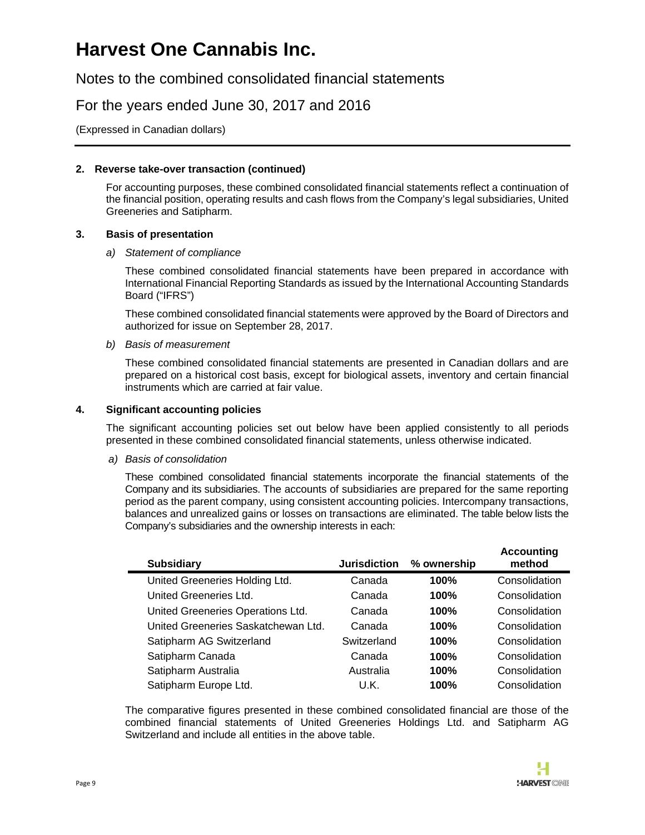Notes to the combined consolidated financial statements

### For the years ended June 30, 2017 and 2016

(Expressed in Canadian dollars)

#### **2. Reverse take-over transaction (continued)**

For accounting purposes, these combined consolidated financial statements reflect a continuation of the financial position, operating results and cash flows from the Company's legal subsidiaries, United Greeneries and Satipharm.

#### **3. Basis of presentation**

#### *a) Statement of compliance*

These combined consolidated financial statements have been prepared in accordance with International Financial Reporting Standards as issued by the International Accounting Standards Board ("IFRS")

These combined consolidated financial statements were approved by the Board of Directors and authorized for issue on September 28, 2017.

#### *b) Basis of measurement*

These combined consolidated financial statements are presented in Canadian dollars and are prepared on a historical cost basis, except for biological assets, inventory and certain financial instruments which are carried at fair value.

#### **4. Significant accounting policies**

The significant accounting policies set out below have been applied consistently to all periods presented in these combined consolidated financial statements, unless otherwise indicated.

*a) Basis of consolidation* 

These combined consolidated financial statements incorporate the financial statements of the Company and its subsidiaries. The accounts of subsidiaries are prepared for the same reporting period as the parent company, using consistent accounting policies. Intercompany transactions, balances and unrealized gains or losses on transactions are eliminated. The table below lists the Company's subsidiaries and the ownership interests in each:

| <b>Subsidiary</b>                   | <b>Jurisdiction</b> | % ownership | <b>Accounting</b><br>method |
|-------------------------------------|---------------------|-------------|-----------------------------|
| United Greeneries Holding Ltd.      | Canada              | 100%        | Consolidation               |
| United Greeneries Ltd.              | Canada              | 100%        | Consolidation               |
| United Greeneries Operations Ltd.   | Canada              | 100%        | Consolidation               |
| United Greeneries Saskatchewan Ltd. | Canada              | 100%        | Consolidation               |
| Satipharm AG Switzerland            | Switzerland         | 100%        | Consolidation               |
| Satipharm Canada                    | Canada              | 100%        | Consolidation               |
| Satipharm Australia                 | Australia           | 100%        | Consolidation               |
| Satipharm Europe Ltd.               | U.K.                | 100%        | Consolidation               |

The comparative figures presented in these combined consolidated financial are those of the combined financial statements of United Greeneries Holdings Ltd. and Satipharm AG Switzerland and include all entities in the above table.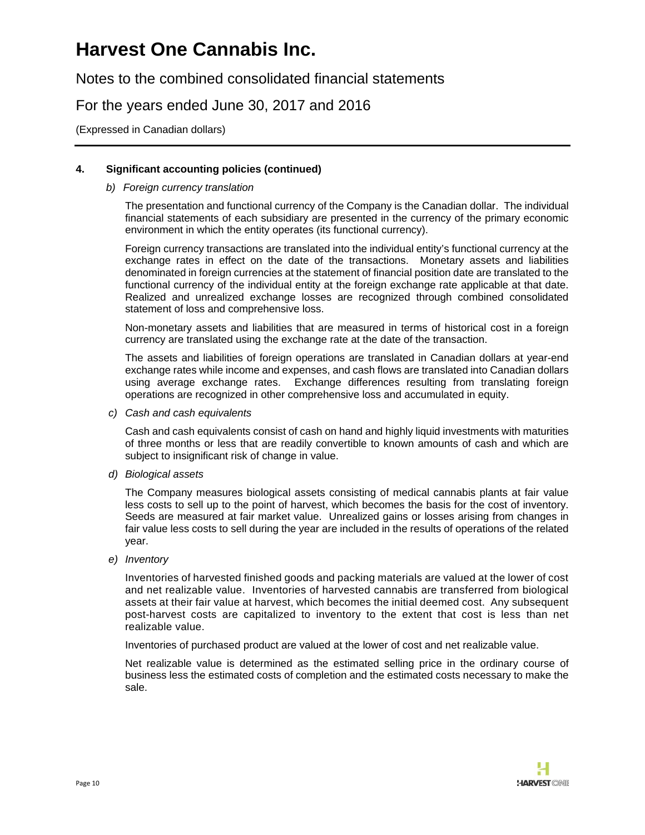Notes to the combined consolidated financial statements

For the years ended June 30, 2017 and 2016

(Expressed in Canadian dollars)

#### **4. Significant accounting policies (continued)**

#### *b) Foreign currency translation*

The presentation and functional currency of the Company is the Canadian dollar. The individual financial statements of each subsidiary are presented in the currency of the primary economic environment in which the entity operates (its functional currency).

Foreign currency transactions are translated into the individual entity's functional currency at the exchange rates in effect on the date of the transactions. Monetary assets and liabilities denominated in foreign currencies at the statement of financial position date are translated to the functional currency of the individual entity at the foreign exchange rate applicable at that date. Realized and unrealized exchange losses are recognized through combined consolidated statement of loss and comprehensive loss.

Non-monetary assets and liabilities that are measured in terms of historical cost in a foreign currency are translated using the exchange rate at the date of the transaction.

The assets and liabilities of foreign operations are translated in Canadian dollars at year-end exchange rates while income and expenses, and cash flows are translated into Canadian dollars using average exchange rates. Exchange differences resulting from translating foreign operations are recognized in other comprehensive loss and accumulated in equity.

*c) Cash and cash equivalents* 

Cash and cash equivalents consist of cash on hand and highly liquid investments with maturities of three months or less that are readily convertible to known amounts of cash and which are subject to insignificant risk of change in value.

*d) Biological assets* 

The Company measures biological assets consisting of medical cannabis plants at fair value less costs to sell up to the point of harvest, which becomes the basis for the cost of inventory. Seeds are measured at fair market value. Unrealized gains or losses arising from changes in fair value less costs to sell during the year are included in the results of operations of the related year.

*e) Inventory* 

Inventories of harvested finished goods and packing materials are valued at the lower of cost and net realizable value. Inventories of harvested cannabis are transferred from biological assets at their fair value at harvest, which becomes the initial deemed cost. Any subsequent post-harvest costs are capitalized to inventory to the extent that cost is less than net realizable value.

Inventories of purchased product are valued at the lower of cost and net realizable value.

Net realizable value is determined as the estimated selling price in the ordinary course of business less the estimated costs of completion and the estimated costs necessary to make the sale.

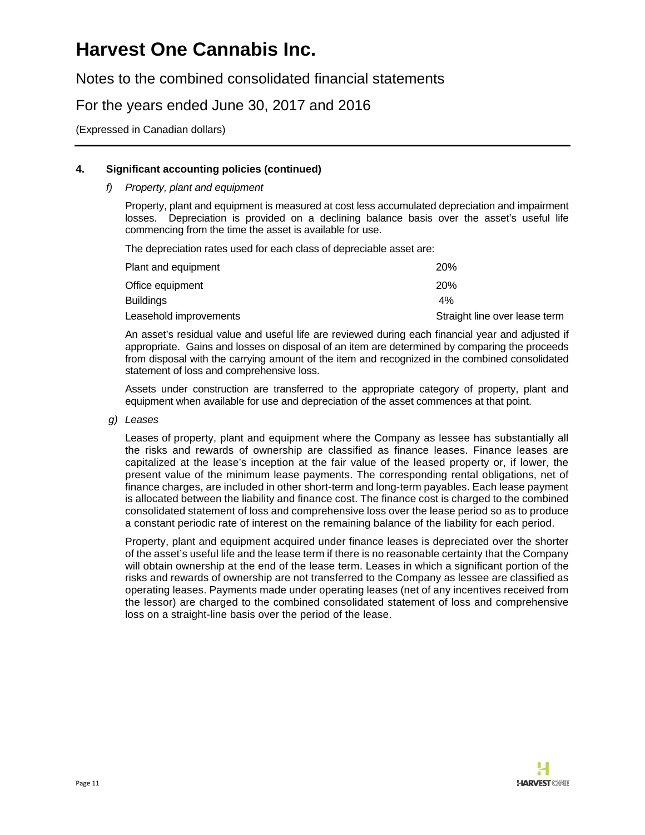Notes to the combined consolidated financial statements

### For the years ended June 30, 2017 and 2016

(Expressed in Canadian dollars)

#### **4. Significant accounting policies (continued)**

#### *f) Property, plant and equipment*

Property, plant and equipment is measured at cost less accumulated depreciation and impairment losses. Depreciation is provided on a declining balance basis over the asset's useful life commencing from the time the asset is available for use.

The depreciation rates used for each class of depreciable asset are:

| Plant and equipment    | <b>20%</b>                    |
|------------------------|-------------------------------|
| Office equipment       | 20 <sub>%</sub>               |
| Buildings              | 4%                            |
| Leasehold improvements | Straight line over lease term |

An asset's residual value and useful life are reviewed during each financial year and adjusted if appropriate. Gains and losses on disposal of an item are determined by comparing the proceeds from disposal with the carrying amount of the item and recognized in the combined consolidated statement of loss and comprehensive loss.

Assets under construction are transferred to the appropriate category of property, plant and equipment when available for use and depreciation of the asset commences at that point.

*g) Leases* 

Leases of property, plant and equipment where the Company as lessee has substantially all the risks and rewards of ownership are classified as finance leases. Finance leases are capitalized at the lease's inception at the fair value of the leased property or, if lower, the present value of the minimum lease payments. The corresponding rental obligations, net of finance charges, are included in other short-term and long-term payables. Each lease payment is allocated between the liability and finance cost. The finance cost is charged to the combined consolidated statement of loss and comprehensive loss over the lease period so as to produce a constant periodic rate of interest on the remaining balance of the liability for each period.

Property, plant and equipment acquired under finance leases is depreciated over the shorter of the asset's useful life and the lease term if there is no reasonable certainty that the Company will obtain ownership at the end of the lease term. Leases in which a significant portion of the risks and rewards of ownership are not transferred to the Company as lessee are classified as operating leases. Payments made under operating leases (net of any incentives received from the lessor) are charged to the combined consolidated statement of loss and comprehensive loss on a straight-line basis over the period of the lease.

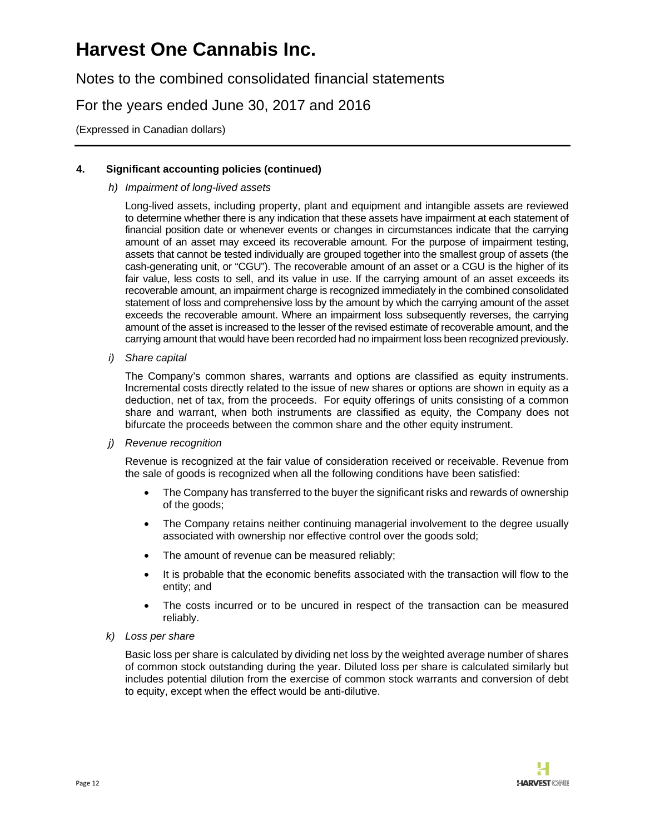Notes to the combined consolidated financial statements

For the years ended June 30, 2017 and 2016

(Expressed in Canadian dollars)

### **4. Significant accounting policies (continued)**

#### *h) Impairment of long-lived assets*

Long-lived assets, including property, plant and equipment and intangible assets are reviewed to determine whether there is any indication that these assets have impairment at each statement of financial position date or whenever events or changes in circumstances indicate that the carrying amount of an asset may exceed its recoverable amount. For the purpose of impairment testing, assets that cannot be tested individually are grouped together into the smallest group of assets (the cash-generating unit, or "CGU"). The recoverable amount of an asset or a CGU is the higher of its fair value, less costs to sell, and its value in use. If the carrying amount of an asset exceeds its recoverable amount, an impairment charge is recognized immediately in the combined consolidated statement of loss and comprehensive loss by the amount by which the carrying amount of the asset exceeds the recoverable amount. Where an impairment loss subsequently reverses, the carrying amount of the asset is increased to the lesser of the revised estimate of recoverable amount, and the carrying amount that would have been recorded had no impairment loss been recognized previously.

*i) Share capital* 

The Company's common shares, warrants and options are classified as equity instruments. Incremental costs directly related to the issue of new shares or options are shown in equity as a deduction, net of tax, from the proceeds. For equity offerings of units consisting of a common share and warrant, when both instruments are classified as equity, the Company does not bifurcate the proceeds between the common share and the other equity instrument.

*j) Revenue recognition* 

Revenue is recognized at the fair value of consideration received or receivable. Revenue from the sale of goods is recognized when all the following conditions have been satisfied:

- The Company has transferred to the buyer the significant risks and rewards of ownership of the goods;
- The Company retains neither continuing managerial involvement to the degree usually associated with ownership nor effective control over the goods sold;
- The amount of revenue can be measured reliably;
- It is probable that the economic benefits associated with the transaction will flow to the entity; and
- The costs incurred or to be uncured in respect of the transaction can be measured reliably.
- *k) Loss per share*

Basic loss per share is calculated by dividing net loss by the weighted average number of shares of common stock outstanding during the year. Diluted loss per share is calculated similarly but includes potential dilution from the exercise of common stock warrants and conversion of debt to equity, except when the effect would be anti-dilutive.

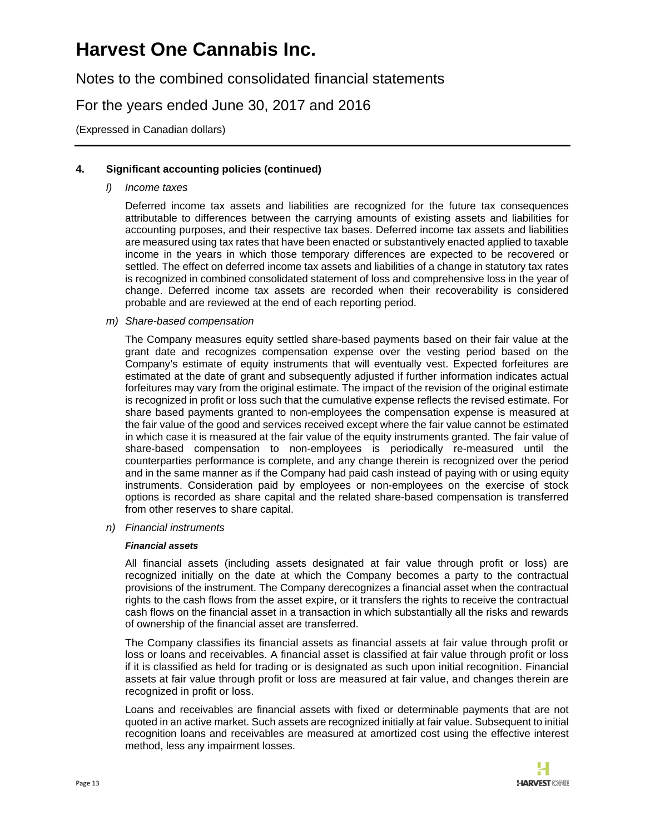Notes to the combined consolidated financial statements

For the years ended June 30, 2017 and 2016

(Expressed in Canadian dollars)

#### **4. Significant accounting policies (continued)**

*l) Income taxes* 

Deferred income tax assets and liabilities are recognized for the future tax consequences attributable to differences between the carrying amounts of existing assets and liabilities for accounting purposes, and their respective tax bases. Deferred income tax assets and liabilities are measured using tax rates that have been enacted or substantively enacted applied to taxable income in the years in which those temporary differences are expected to be recovered or settled. The effect on deferred income tax assets and liabilities of a change in statutory tax rates is recognized in combined consolidated statement of loss and comprehensive loss in the year of change. Deferred income tax assets are recorded when their recoverability is considered probable and are reviewed at the end of each reporting period.

*m) Share-based compensation* 

The Company measures equity settled share-based payments based on their fair value at the grant date and recognizes compensation expense over the vesting period based on the Company's estimate of equity instruments that will eventually vest. Expected forfeitures are estimated at the date of grant and subsequently adjusted if further information indicates actual forfeitures may vary from the original estimate. The impact of the revision of the original estimate is recognized in profit or loss such that the cumulative expense reflects the revised estimate. For share based payments granted to non-employees the compensation expense is measured at the fair value of the good and services received except where the fair value cannot be estimated in which case it is measured at the fair value of the equity instruments granted. The fair value of share-based compensation to non-employees is periodically re-measured until the counterparties performance is complete, and any change therein is recognized over the period and in the same manner as if the Company had paid cash instead of paying with or using equity instruments. Consideration paid by employees or non-employees on the exercise of stock options is recorded as share capital and the related share-based compensation is transferred from other reserves to share capital.

*n) Financial instruments* 

#### *Financial assets*

All financial assets (including assets designated at fair value through profit or loss) are recognized initially on the date at which the Company becomes a party to the contractual provisions of the instrument. The Company derecognizes a financial asset when the contractual rights to the cash flows from the asset expire, or it transfers the rights to receive the contractual cash flows on the financial asset in a transaction in which substantially all the risks and rewards of ownership of the financial asset are transferred.

The Company classifies its financial assets as financial assets at fair value through profit or loss or loans and receivables. A financial asset is classified at fair value through profit or loss if it is classified as held for trading or is designated as such upon initial recognition. Financial assets at fair value through profit or loss are measured at fair value, and changes therein are recognized in profit or loss.

Loans and receivables are financial assets with fixed or determinable payments that are not quoted in an active market. Such assets are recognized initially at fair value. Subsequent to initial recognition loans and receivables are measured at amortized cost using the effective interest method, less any impairment losses.

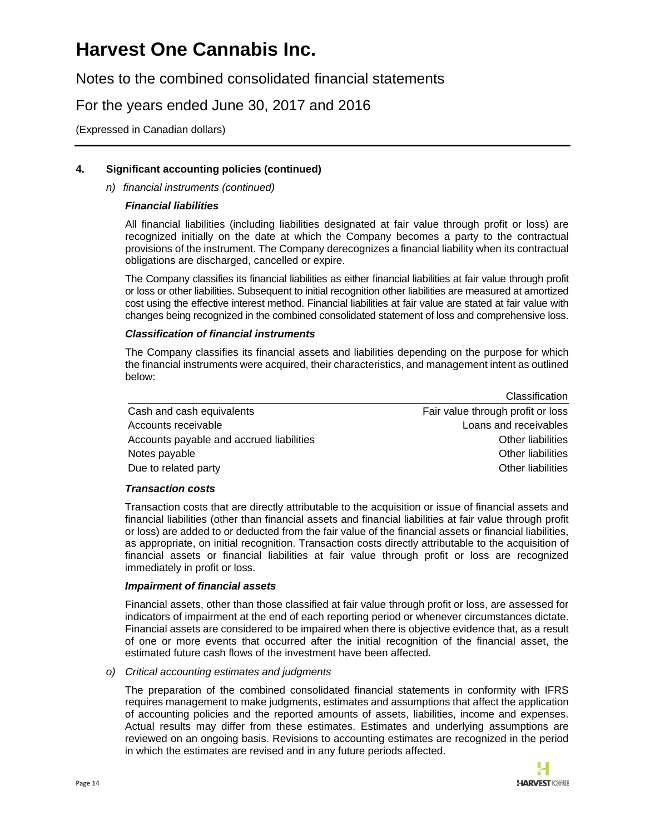Notes to the combined consolidated financial statements

### For the years ended June 30, 2017 and 2016

(Expressed in Canadian dollars)

### **4. Significant accounting policies (continued)**

#### *n) financial instruments (continued)*

#### *Financial liabilities*

All financial liabilities (including liabilities designated at fair value through profit or loss) are recognized initially on the date at which the Company becomes a party to the contractual provisions of the instrument. The Company derecognizes a financial liability when its contractual obligations are discharged, cancelled or expire.

The Company classifies its financial liabilities as either financial liabilities at fair value through profit or loss or other liabilities. Subsequent to initial recognition other liabilities are measured at amortized cost using the effective interest method. Financial liabilities at fair value are stated at fair value with changes being recognized in the combined consolidated statement of loss and comprehensive loss.

#### *Classification of financial instruments*

The Company classifies its financial assets and liabilities depending on the purpose for which the financial instruments were acquired, their characteristics, and management intent as outlined below:

|                                          | Giassification                    |
|------------------------------------------|-----------------------------------|
| Cash and cash equivalents                | Fair value through profit or loss |
| Accounts receivable                      | Loans and receivables             |
| Accounts payable and accrued liabilities | Other liabilities                 |
| Notes payable                            | Other liabilities                 |
| Due to related party                     | Other liabilities                 |

#### *Transaction costs*

Transaction costs that are directly attributable to the acquisition or issue of financial assets and financial liabilities (other than financial assets and financial liabilities at fair value through profit or loss) are added to or deducted from the fair value of the financial assets or financial liabilities, as appropriate, on initial recognition. Transaction costs directly attributable to the acquisition of financial assets or financial liabilities at fair value through profit or loss are recognized immediately in profit or loss.

#### *Impairment of financial assets*

Financial assets, other than those classified at fair value through profit or loss, are assessed for indicators of impairment at the end of each reporting period or whenever circumstances dictate. Financial assets are considered to be impaired when there is objective evidence that, as a result of one or more events that occurred after the initial recognition of the financial asset, the estimated future cash flows of the investment have been affected.

#### *o) Critical accounting estimates and judgments*

The preparation of the combined consolidated financial statements in conformity with IFRS requires management to make judgments, estimates and assumptions that affect the application of accounting policies and the reported amounts of assets, liabilities, income and expenses. Actual results may differ from these estimates. Estimates and underlying assumptions are reviewed on an ongoing basis. Revisions to accounting estimates are recognized in the period in which the estimates are revised and in any future periods affected.



Classification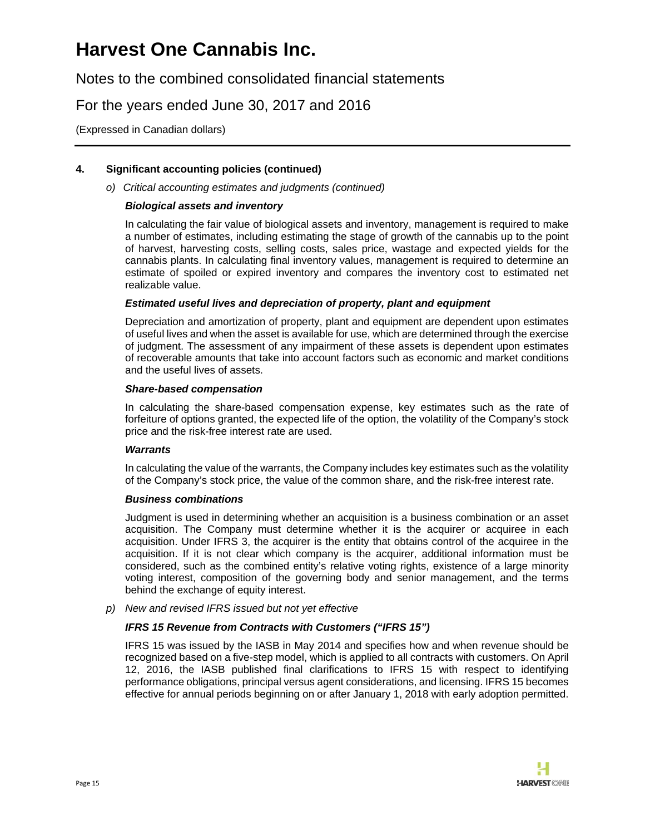Notes to the combined consolidated financial statements

### For the years ended June 30, 2017 and 2016

(Expressed in Canadian dollars)

#### **4. Significant accounting policies (continued)**

*o) Critical accounting estimates and judgments (continued)* 

#### *Biological assets and inventory*

In calculating the fair value of biological assets and inventory, management is required to make a number of estimates, including estimating the stage of growth of the cannabis up to the point of harvest, harvesting costs, selling costs, sales price, wastage and expected yields for the cannabis plants. In calculating final inventory values, management is required to determine an estimate of spoiled or expired inventory and compares the inventory cost to estimated net realizable value.

#### *Estimated useful lives and depreciation of property, plant and equipment*

Depreciation and amortization of property, plant and equipment are dependent upon estimates of useful lives and when the asset is available for use, which are determined through the exercise of judgment. The assessment of any impairment of these assets is dependent upon estimates of recoverable amounts that take into account factors such as economic and market conditions and the useful lives of assets.

#### *Share-based compensation*

In calculating the share-based compensation expense, key estimates such as the rate of forfeiture of options granted, the expected life of the option, the volatility of the Company's stock price and the risk-free interest rate are used.

#### *Warrants*

In calculating the value of the warrants, the Company includes key estimates such as the volatility of the Company's stock price, the value of the common share, and the risk-free interest rate.

#### *Business combinations*

Judgment is used in determining whether an acquisition is a business combination or an asset acquisition. The Company must determine whether it is the acquirer or acquiree in each acquisition. Under IFRS 3, the acquirer is the entity that obtains control of the acquiree in the acquisition. If it is not clear which company is the acquirer, additional information must be considered, such as the combined entity's relative voting rights, existence of a large minority voting interest, composition of the governing body and senior management, and the terms behind the exchange of equity interest.

*p) New and revised IFRS issued but not yet effective* 

#### *IFRS 15 Revenue from Contracts with Customers ("IFRS 15")*

IFRS 15 was issued by the IASB in May 2014 and specifies how and when revenue should be recognized based on a five-step model, which is applied to all contracts with customers. On April 12, 2016, the IASB published final clarifications to IFRS 15 with respect to identifying performance obligations, principal versus agent considerations, and licensing. IFRS 15 becomes effective for annual periods beginning on or after January 1, 2018 with early adoption permitted.

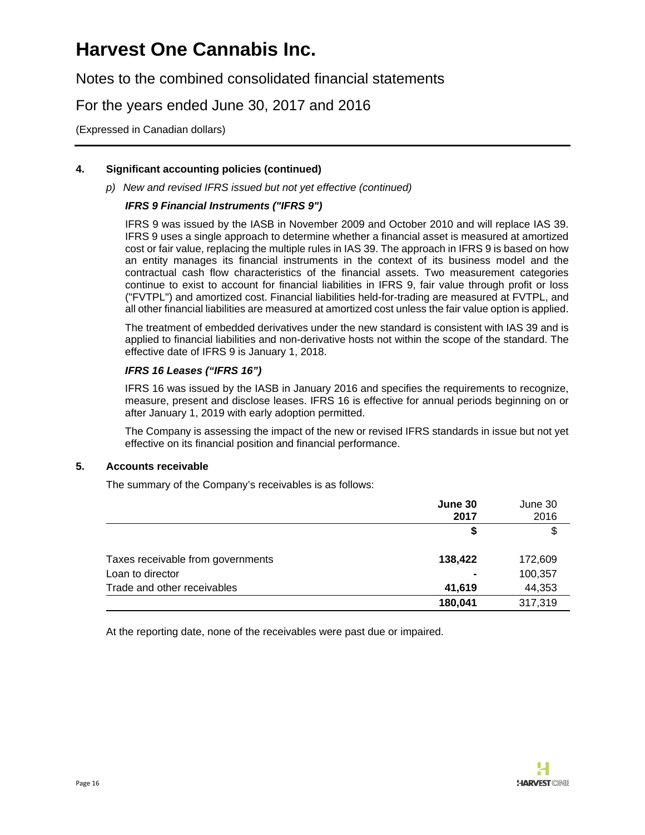Notes to the combined consolidated financial statements

### For the years ended June 30, 2017 and 2016

(Expressed in Canadian dollars)

### **4. Significant accounting policies (continued)**

*p) New and revised IFRS issued but not yet effective (continued)*

#### *IFRS 9 Financial Instruments ("IFRS 9")*

IFRS 9 was issued by the IASB in November 2009 and October 2010 and will replace IAS 39. IFRS 9 uses a single approach to determine whether a financial asset is measured at amortized cost or fair value, replacing the multiple rules in IAS 39. The approach in IFRS 9 is based on how an entity manages its financial instruments in the context of its business model and the contractual cash flow characteristics of the financial assets. Two measurement categories continue to exist to account for financial liabilities in IFRS 9, fair value through profit or loss ("FVTPL") and amortized cost. Financial liabilities held-for-trading are measured at FVTPL, and all other financial liabilities are measured at amortized cost unless the fair value option is applied.

The treatment of embedded derivatives under the new standard is consistent with IAS 39 and is applied to financial liabilities and non-derivative hosts not within the scope of the standard. The effective date of IFRS 9 is January 1, 2018.

#### *IFRS 16 Leases ("IFRS 16")*

IFRS 16 was issued by the IASB in January 2016 and specifies the requirements to recognize, measure, present and disclose leases. IFRS 16 is effective for annual periods beginning on or after January 1, 2019 with early adoption permitted.

The Company is assessing the impact of the new or revised IFRS standards in issue but not yet effective on its financial position and financial performance.

#### **5. Accounts receivable**

The summary of the Company's receivables is as follows:

|                                   | June 30<br>2017 | June 30<br>2016 |
|-----------------------------------|-----------------|-----------------|
|                                   | S               | \$              |
| Taxes receivable from governments | 138,422         | 172,609         |
| Loan to director                  | $\blacksquare$  | 100,357         |
| Trade and other receivables       | 41,619          | 44,353          |
|                                   | 180,041         | 317,319         |

At the reporting date, none of the receivables were past due or impaired.

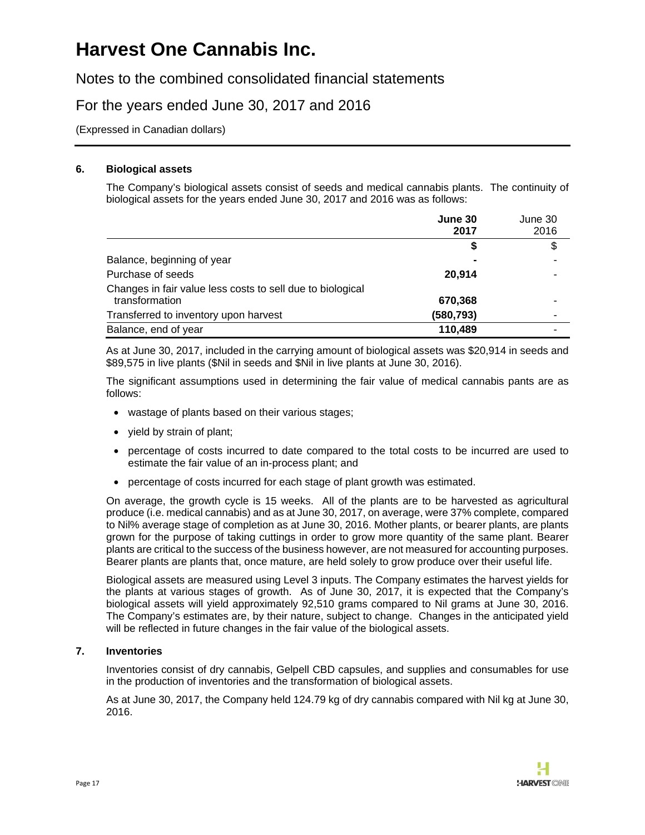Notes to the combined consolidated financial statements

### For the years ended June 30, 2017 and 2016

(Expressed in Canadian dollars)

#### **6. Biological assets**

The Company's biological assets consist of seeds and medical cannabis plants. The continuity of biological assets for the years ended June 30, 2017 and 2016 was as follows:

|                                                                              | June 30<br>2017 | June 30<br>2016 |
|------------------------------------------------------------------------------|-----------------|-----------------|
|                                                                              | S               | \$              |
| Balance, beginning of year                                                   |                 |                 |
| Purchase of seeds                                                            | 20.914          | $\blacksquare$  |
| Changes in fair value less costs to sell due to biological<br>transformation | 670,368         | -               |
| Transferred to inventory upon harvest                                        | (580, 793)      | -               |
| Balance, end of year                                                         | 110,489         |                 |

As at June 30, 2017, included in the carrying amount of biological assets was \$20,914 in seeds and \$89,575 in live plants (\$Nil in seeds and \$Nil in live plants at June 30, 2016).

The significant assumptions used in determining the fair value of medical cannabis pants are as follows:

- wastage of plants based on their various stages;
- yield by strain of plant;
- percentage of costs incurred to date compared to the total costs to be incurred are used to estimate the fair value of an in-process plant; and
- percentage of costs incurred for each stage of plant growth was estimated.

On average, the growth cycle is 15 weeks. All of the plants are to be harvested as agricultural produce (i.e. medical cannabis) and as at June 30, 2017, on average, were 37% complete, compared to Nil% average stage of completion as at June 30, 2016. Mother plants, or bearer plants, are plants grown for the purpose of taking cuttings in order to grow more quantity of the same plant. Bearer plants are critical to the success of the business however, are not measured for accounting purposes. Bearer plants are plants that, once mature, are held solely to grow produce over their useful life.

Biological assets are measured using Level 3 inputs. The Company estimates the harvest yields for the plants at various stages of growth. As of June 30, 2017, it is expected that the Company's biological assets will yield approximately 92,510 grams compared to Nil grams at June 30, 2016. The Company's estimates are, by their nature, subject to change. Changes in the anticipated yield will be reflected in future changes in the fair value of the biological assets.

#### **7. Inventories**

Inventories consist of dry cannabis, Gelpell CBD capsules, and supplies and consumables for use in the production of inventories and the transformation of biological assets.

As at June 30, 2017, the Company held 124.79 kg of dry cannabis compared with Nil kg at June 30, 2016.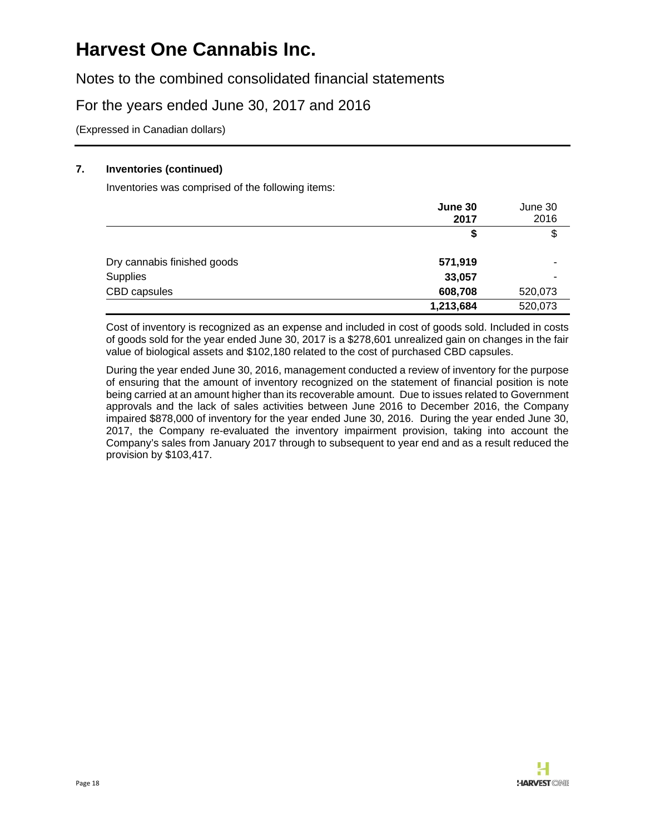Notes to the combined consolidated financial statements

### For the years ended June 30, 2017 and 2016

(Expressed in Canadian dollars)

#### **7. Inventories (continued)**

Inventories was comprised of the following items:

|                             | June 30<br>2017 | June 30<br>2016 |
|-----------------------------|-----------------|-----------------|
|                             | \$              | \$              |
| Dry cannabis finished goods | 571,919         |                 |
| Supplies                    | 33,057          |                 |
| CBD capsules                | 608,708         | 520,073         |
|                             | 1,213,684       | 520,073         |

Cost of inventory is recognized as an expense and included in cost of goods sold. Included in costs of goods sold for the year ended June 30, 2017 is a \$278,601 unrealized gain on changes in the fair value of biological assets and \$102,180 related to the cost of purchased CBD capsules.

During the year ended June 30, 2016, management conducted a review of inventory for the purpose of ensuring that the amount of inventory recognized on the statement of financial position is note being carried at an amount higher than its recoverable amount. Due to issues related to Government approvals and the lack of sales activities between June 2016 to December 2016, the Company impaired \$878,000 of inventory for the year ended June 30, 2016. During the year ended June 30, 2017, the Company re-evaluated the inventory impairment provision, taking into account the Company's sales from January 2017 through to subsequent to year end and as a result reduced the provision by \$103,417.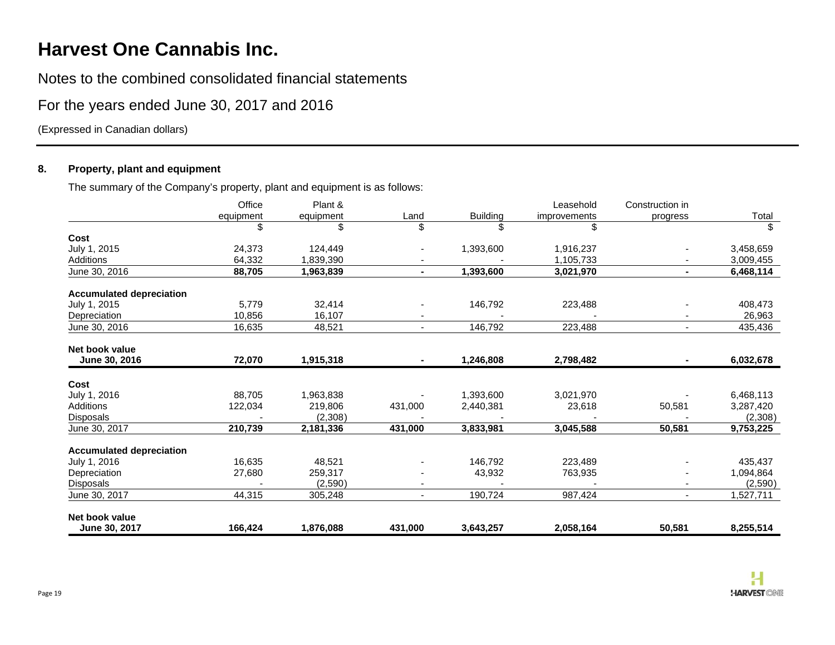Notes to the combined consolidated financial statements

### For the years ended June 30, 2017 and 2016

(Expressed in Canadian dollars)

### **8. Property, plant and equipment**

The summary of the Company's property, plant and equipment is as follows:

|                                 | Office    | Plant &   |                |                 | Leasehold    | Construction in |           |
|---------------------------------|-----------|-----------|----------------|-----------------|--------------|-----------------|-----------|
|                                 | equipment | equipment | Land           | <b>Building</b> | improvements | progress        | Total     |
|                                 | \$        | \$        | \$             | ß.              | \$           |                 | \$        |
| Cost                            |           |           |                |                 |              |                 |           |
| July 1, 2015                    | 24,373    | 124,449   |                | 1,393,600       | 1,916,237    |                 | 3,458,659 |
| Additions                       | 64,332    | 1,839,390 |                |                 | 1,105,733    |                 | 3,009,455 |
| June 30, 2016                   | 88,705    | 1,963,839 | $\blacksquare$ | 1,393,600       | 3,021,970    |                 | 6,468,114 |
| <b>Accumulated depreciation</b> |           |           |                |                 |              |                 |           |
| July 1, 2015                    | 5,779     | 32,414    |                | 146,792         | 223,488      |                 | 408,473   |
| Depreciation                    | 10,856    | 16,107    |                |                 |              |                 | 26,963    |
| June 30, 2016                   | 16,635    | 48,521    | $\sim$         | 146,792         | 223,488      | $\sim$          | 435,436   |
| Net book value                  |           |           |                |                 |              |                 |           |
| June 30, 2016                   | 72,070    | 1,915,318 | $\sim$         | 1,246,808       | 2,798,482    |                 | 6,032,678 |
| Cost                            |           |           |                |                 |              |                 |           |
| July 1, 2016                    | 88,705    | 1,963,838 |                | 1,393,600       | 3,021,970    |                 | 6,468,113 |
| Additions                       | 122,034   | 219,806   | 431,000        | 2,440,381       | 23,618       | 50,581          | 3,287,420 |
| Disposals                       |           | (2,308)   |                |                 |              |                 | (2,308)   |
| June 30, 2017                   | 210,739   | 2,181,336 | 431,000        | 3,833,981       | 3,045,588    | 50,581          | 9,753,225 |
| <b>Accumulated depreciation</b> |           |           |                |                 |              |                 |           |
| July 1, 2016                    | 16,635    | 48,521    |                | 146,792         | 223,489      |                 | 435,437   |
| Depreciation                    | 27,680    | 259,317   |                | 43,932          | 763,935      |                 | 1,094,864 |
| Disposals                       |           | (2,590)   |                |                 |              |                 | (2,590)   |
| June 30, 2017                   | 44,315    | 305,248   | $\blacksquare$ | 190,724         | 987,424      |                 | 1,527,711 |
| Net book value                  |           |           |                |                 |              |                 |           |
| June 30, 2017                   | 166,424   | 1,876,088 | 431,000        | 3,643,257       | 2,058,164    | 50,581          | 8,255,514 |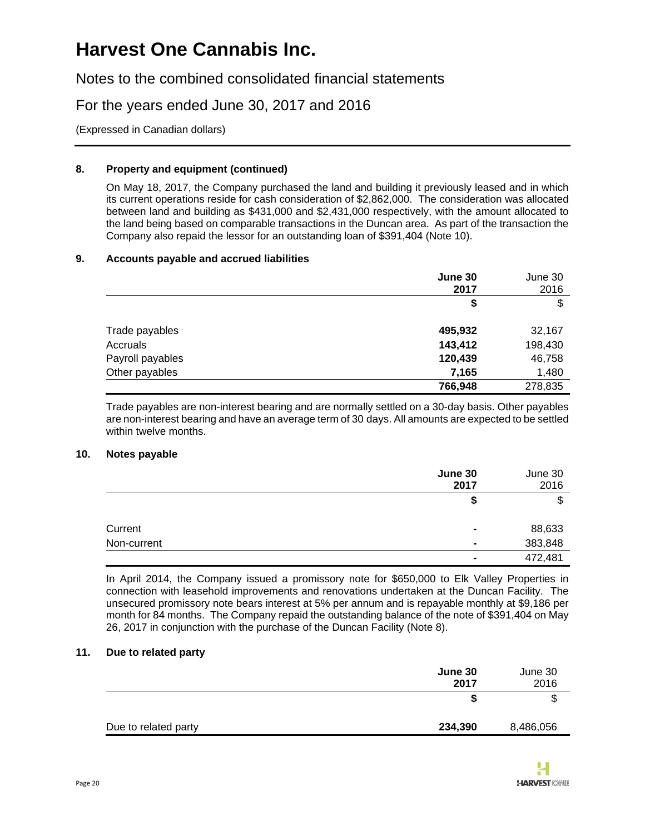Notes to the combined consolidated financial statements

For the years ended June 30, 2017 and 2016

(Expressed in Canadian dollars)

#### **8. Property and equipment (continued)**

On May 18, 2017, the Company purchased the land and building it previously leased and in which its current operations reside for cash consideration of \$2,862,000. The consideration was allocated between land and building as \$431,000 and \$2,431,000 respectively, with the amount allocated to the land being based on comparable transactions in the Duncan area. As part of the transaction the Company also repaid the lessor for an outstanding loan of \$391,404 (Note 10).

#### **9. Accounts payable and accrued liabilities**

|                  | June 30<br>2017 | June 30<br>2016 |
|------------------|-----------------|-----------------|
|                  | \$              | \$              |
| Trade payables   | 495,932         | 32,167          |
| Accruals         | 143,412         | 198,430         |
| Payroll payables | 120,439         | 46,758          |
| Other payables   | 7,165           | 1,480           |
|                  | 766,948         | 278,835         |

Trade payables are non-interest bearing and are normally settled on a 30-day basis. Other payables are non-interest bearing and have an average term of 30 days. All amounts are expected to be settled within twelve months.

#### **10. Notes payable**

|             | June 30<br>2017 | June 30<br>2016 |
|-------------|-----------------|-----------------|
|             |                 |                 |
|             |                 |                 |
|             |                 |                 |
| Current     | $\blacksquare$  | 88,633          |
| Non-current | $\blacksquare$  | 383,848         |
|             | $\blacksquare$  | 472,481         |

In April 2014, the Company issued a promissory note for \$650,000 to Elk Valley Properties in connection with leasehold improvements and renovations undertaken at the Duncan Facility. The unsecured promissory note bears interest at 5% per annum and is repayable monthly at \$9,186 per month for 84 months. The Company repaid the outstanding balance of the note of \$391,404 on May 26, 2017 in conjunction with the purchase of the Duncan Facility (Note 8).

#### **11. Due to related party**

|                      | June 30<br>2017 | June 30<br>2016 |
|----------------------|-----------------|-----------------|
|                      | ъ               | \$              |
| Due to related party | 234,390         | 8,486,056       |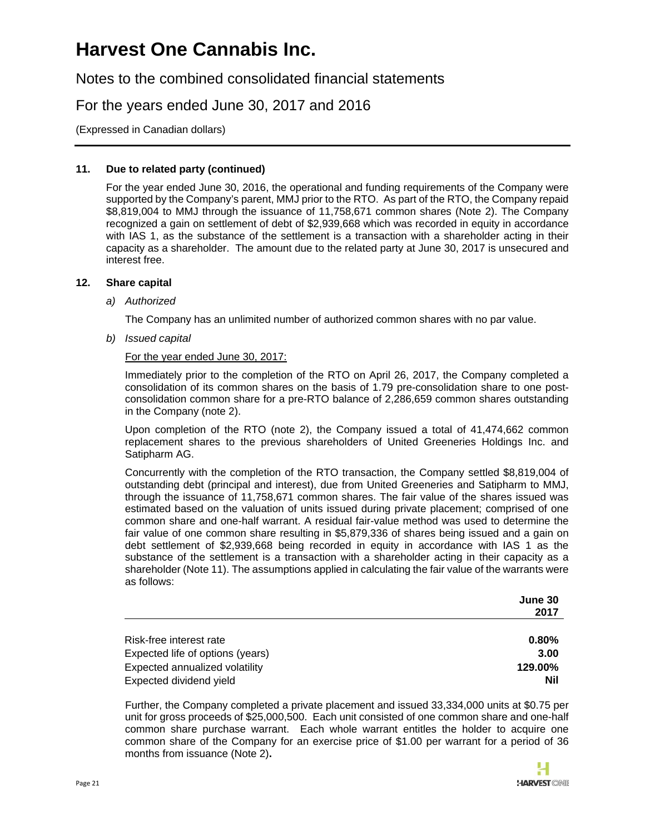Notes to the combined consolidated financial statements

For the years ended June 30, 2017 and 2016

(Expressed in Canadian dollars)

#### **11. Due to related party (continued)**

For the year ended June 30, 2016, the operational and funding requirements of the Company were supported by the Company's parent, MMJ prior to the RTO. As part of the RTO, the Company repaid \$8,819,004 to MMJ through the issuance of 11,758,671 common shares (Note 2). The Company recognized a gain on settlement of debt of \$2,939,668 which was recorded in equity in accordance with IAS 1, as the substance of the settlement is a transaction with a shareholder acting in their capacity as a shareholder. The amount due to the related party at June 30, 2017 is unsecured and interest free.

#### **12. Share capital**

#### *a) Authorized*

The Company has an unlimited number of authorized common shares with no par value.

*b) Issued capital*

#### For the year ended June 30, 2017:

Immediately prior to the completion of the RTO on April 26, 2017, the Company completed a consolidation of its common shares on the basis of 1.79 pre-consolidation share to one postconsolidation common share for a pre-RTO balance of 2,286,659 common shares outstanding in the Company (note 2).

Upon completion of the RTO (note 2), the Company issued a total of 41,474,662 common replacement shares to the previous shareholders of United Greeneries Holdings Inc. and Satipharm AG.

Concurrently with the completion of the RTO transaction, the Company settled \$8,819,004 of outstanding debt (principal and interest), due from United Greeneries and Satipharm to MMJ, through the issuance of 11,758,671 common shares. The fair value of the shares issued was estimated based on the valuation of units issued during private placement; comprised of one common share and one-half warrant. A residual fair-value method was used to determine the fair value of one common share resulting in \$5,879,336 of shares being issued and a gain on debt settlement of \$2,939,668 being recorded in equity in accordance with IAS 1 as the substance of the settlement is a transaction with a shareholder acting in their capacity as a shareholder (Note 11). The assumptions applied in calculating the fair value of the warrants were as follows:

|                                  | June 30  |
|----------------------------------|----------|
|                                  | 2017     |
|                                  |          |
| Risk-free interest rate          | $0.80\%$ |
| Expected life of options (years) | 3.00     |
| Expected annualized volatility   | 129.00%  |
| Expected dividend yield          | Nil      |

Further, the Company completed a private placement and issued 33,334,000 units at \$0.75 per unit for gross proceeds of \$25,000,500. Each unit consisted of one common share and one-half common share purchase warrant. Each whole warrant entitles the holder to acquire one common share of the Company for an exercise price of \$1.00 per warrant for a period of 36 months from issuance (Note 2)**.**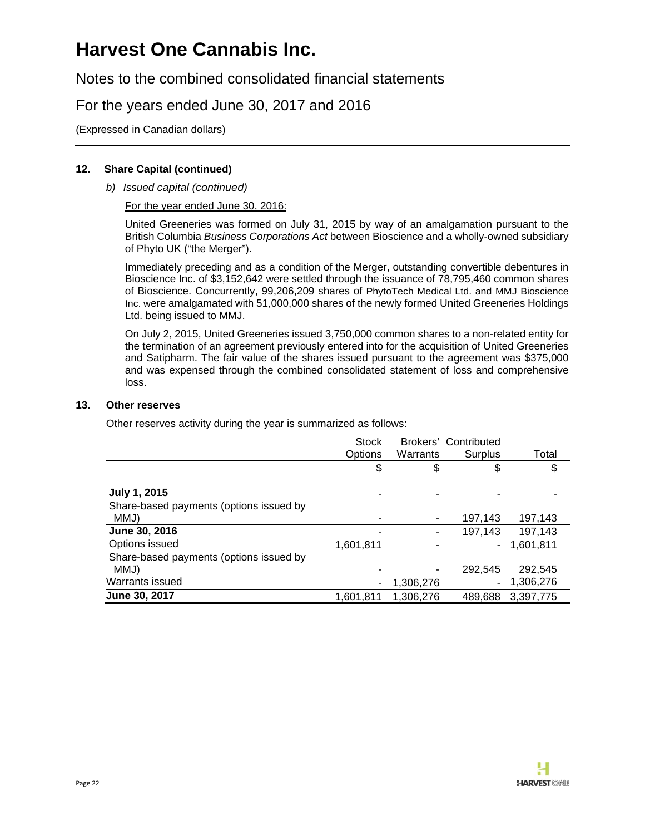Notes to the combined consolidated financial statements

### For the years ended June 30, 2017 and 2016

(Expressed in Canadian dollars)

#### **12. Share Capital (continued)**

*b) Issued capital (continued)*

#### For the year ended June 30, 2016:

United Greeneries was formed on July 31, 2015 by way of an amalgamation pursuant to the British Columbia *Business Corporations Act* between Bioscience and a wholly-owned subsidiary of Phyto UK ("the Merger").

Immediately preceding and as a condition of the Merger, outstanding convertible debentures in Bioscience Inc. of \$3,152,642 were settled through the issuance of 78,795,460 common shares of Bioscience. Concurrently, 99,206,209 shares of PhytoTech Medical Ltd. and MMJ Bioscience Inc. were amalgamated with 51,000,000 shares of the newly formed United Greeneries Holdings Ltd. being issued to MMJ.

On July 2, 2015, United Greeneries issued 3,750,000 common shares to a non-related entity for the termination of an agreement previously entered into for the acquisition of United Greeneries and Satipharm. The fair value of the shares issued pursuant to the agreement was \$375,000 and was expensed through the combined consolidated statement of loss and comprehensive loss.

#### **13. Other reserves**

Other reserves activity during the year is summarized as follows:

|                                         | <b>Stock</b> |           | Brokers' Contributed |           |
|-----------------------------------------|--------------|-----------|----------------------|-----------|
|                                         | Options      | Warrants  | Surplus              | Total     |
|                                         | \$           | \$        | \$                   | \$        |
| July 1, 2015                            |              |           |                      |           |
| Share-based payments (options issued by |              |           |                      |           |
| MMJ)                                    |              | ٠         | 197,143              | 197,143   |
| June 30, 2016                           |              | ۰         | 197,143              | 197,143   |
| Options issued                          | 1,601,811    |           | ۰.                   | 1,601,811 |
| Share-based payments (options issued by |              |           |                      |           |
| MMJ)                                    |              | ۰         | 292,545              | 292,545   |
| Warrants issued                         |              | 1,306,276 | ÷.                   | 1,306,276 |
| <b>June 30, 2017</b>                    | 1,601,811    | 1,306,276 | 489,688              | 3,397,775 |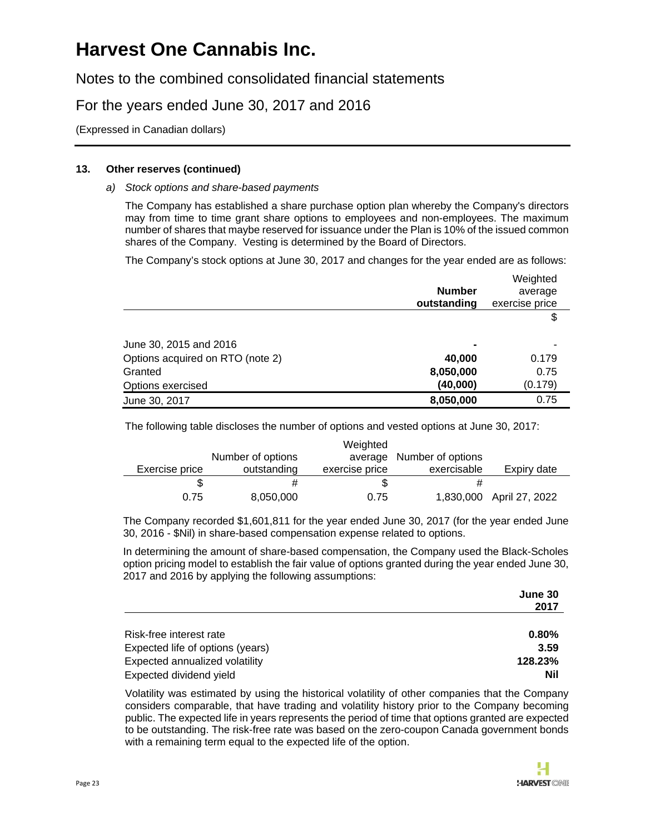Notes to the combined consolidated financial statements

### For the years ended June 30, 2017 and 2016

(Expressed in Canadian dollars)

#### **13. Other reserves (continued)**

#### *a) Stock options and share-based payments*

The Company has established a share purchase option plan whereby the Company's directors may from time to time grant share options to employees and non-employees. The maximum number of shares that maybe reserved for issuance under the Plan is 10% of the issued common shares of the Company. Vesting is determined by the Board of Directors.

The Company's stock options at June 30, 2017 and changes for the year ended are as follows:

|                                  |                | Weighted       |
|----------------------------------|----------------|----------------|
|                                  | <b>Number</b>  | average        |
|                                  | outstanding    | exercise price |
|                                  |                | \$             |
| June 30, 2015 and 2016           | $\blacksquare$ |                |
| Options acquired on RTO (note 2) | 40,000         | 0.179          |
| Granted                          | 8,050,000      | 0.75           |
| Options exercised                | (40,000)       | (0.179)        |
| June 30, 2017                    | 8,050,000      | 0.75           |

The following table discloses the number of options and vested options at June 30, 2017:

|                |                   | Weighted       |                           |                          |
|----------------|-------------------|----------------|---------------------------|--------------------------|
|                | Number of options |                | average Number of options |                          |
| Exercise price | outstanding       | exercise price | exercisable               | Expiry date              |
|                |                   | S              |                           |                          |
| 0.75           | 8,050,000         | 0.75           |                           | 1,830,000 April 27, 2022 |

The Company recorded \$1,601,811 for the year ended June 30, 2017 (for the year ended June 30, 2016 - \$Nil) in share-based compensation expense related to options.

In determining the amount of share-based compensation, the Company used the Black-Scholes option pricing model to establish the fair value of options granted during the year ended June 30, 2017 and 2016 by applying the following assumptions:

|                                  | June 30 |
|----------------------------------|---------|
|                                  | 2017    |
| Risk-free interest rate          | 0.80%   |
| Expected life of options (years) | 3.59    |
| Expected annualized volatility   | 128.23% |
| Expected dividend yield          | Nil     |

Volatility was estimated by using the historical volatility of other companies that the Company considers comparable, that have trading and volatility history prior to the Company becoming public. The expected life in years represents the period of time that options granted are expected to be outstanding. The risk-free rate was based on the zero-coupon Canada government bonds with a remaining term equal to the expected life of the option.

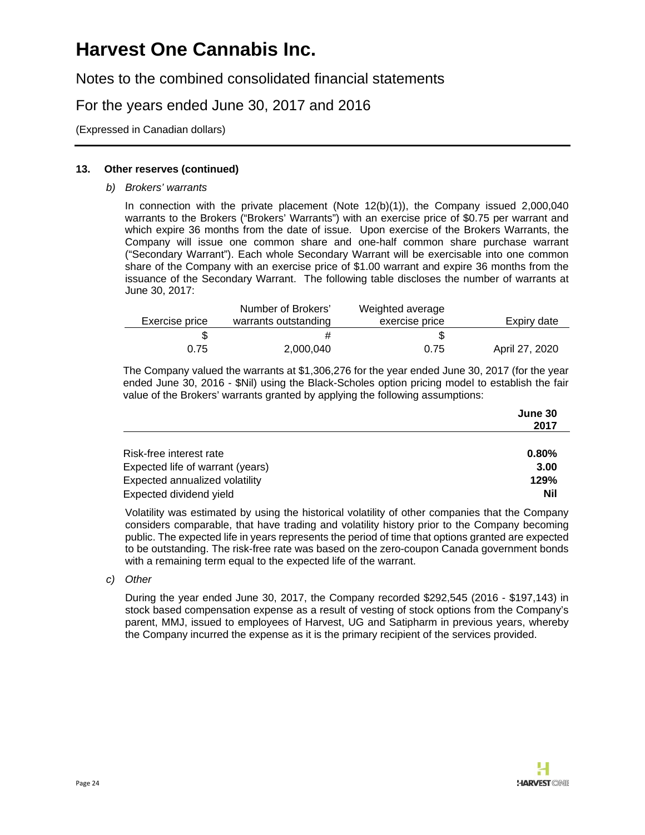Notes to the combined consolidated financial statements

### For the years ended June 30, 2017 and 2016

(Expressed in Canadian dollars)

#### **13. Other reserves (continued)**

*b) Brokers' warrants* 

In connection with the private placement (Note 12(b)(1)), the Company issued 2,000,040 warrants to the Brokers ("Brokers' Warrants") with an exercise price of \$0.75 per warrant and which expire 36 months from the date of issue. Upon exercise of the Brokers Warrants, the Company will issue one common share and one-half common share purchase warrant ("Secondary Warrant"). Each whole Secondary Warrant will be exercisable into one common share of the Company with an exercise price of \$1.00 warrant and expire 36 months from the issuance of the Secondary Warrant. The following table discloses the number of warrants at June 30, 2017:

| Exercise price | Number of Brokers'<br>warrants outstanding | Weighted average<br>exercise price | Expiry date    |
|----------------|--------------------------------------------|------------------------------------|----------------|
|                |                                            |                                    |                |
| 0.75           | 2,000,040                                  | 0.75                               | April 27, 2020 |

The Company valued the warrants at \$1,306,276 for the year ended June 30, 2017 (for the year ended June 30, 2016 - \$Nil) using the Black-Scholes option pricing model to establish the fair value of the Brokers' warrants granted by applying the following assumptions:

|                                  | June 30 |
|----------------------------------|---------|
|                                  | 2017    |
|                                  |         |
| Risk-free interest rate          | 0.80%   |
| Expected life of warrant (years) | 3.00    |
| Expected annualized volatility   | 129%    |
| Expected dividend yield          | Nil     |

Volatility was estimated by using the historical volatility of other companies that the Company considers comparable, that have trading and volatility history prior to the Company becoming public. The expected life in years represents the period of time that options granted are expected to be outstanding. The risk-free rate was based on the zero-coupon Canada government bonds with a remaining term equal to the expected life of the warrant.

*c) Other* 

During the year ended June 30, 2017, the Company recorded \$292,545 (2016 - \$197,143) in stock based compensation expense as a result of vesting of stock options from the Company's parent, MMJ, issued to employees of Harvest, UG and Satipharm in previous years, whereby the Company incurred the expense as it is the primary recipient of the services provided.

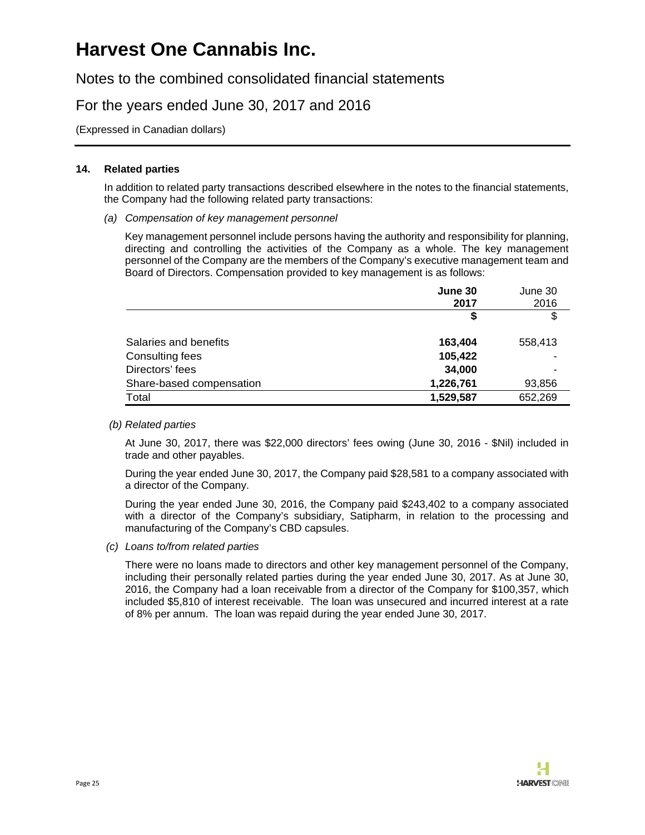Notes to the combined consolidated financial statements

### For the years ended June 30, 2017 and 2016

(Expressed in Canadian dollars)

#### **14. Related parties**

In addition to related party transactions described elsewhere in the notes to the financial statements, the Company had the following related party transactions:

*(a) Compensation of key management personnel* 

Key management personnel include persons having the authority and responsibility for planning, directing and controlling the activities of the Company as a whole. The key management personnel of the Company are the members of the Company's executive management team and Board of Directors. Compensation provided to key management is as follows:

|                          | June 30   | June 30 |
|--------------------------|-----------|---------|
|                          | 2017      | 2016    |
|                          | \$        | \$      |
| Salaries and benefits    | 163,404   | 558,413 |
| Consulting fees          | 105,422   |         |
| Directors' fees          | 34,000    |         |
| Share-based compensation | 1,226,761 | 93,856  |
| Total                    | 1,529,587 | 652,269 |

#### *(b) Related parties*

At June 30, 2017, there was \$22,000 directors' fees owing (June 30, 2016 - \$Nil) included in trade and other payables.

During the year ended June 30, 2017, the Company paid \$28,581 to a company associated with a director of the Company.

During the year ended June 30, 2016, the Company paid \$243,402 to a company associated with a director of the Company's subsidiary, Satipharm, in relation to the processing and manufacturing of the Company's CBD capsules.

*(c) Loans to/from related parties* 

There were no loans made to directors and other key management personnel of the Company, including their personally related parties during the year ended June 30, 2017. As at June 30, 2016, the Company had a loan receivable from a director of the Company for \$100,357, which included \$5,810 of interest receivable. The loan was unsecured and incurred interest at a rate of 8% per annum. The loan was repaid during the year ended June 30, 2017.

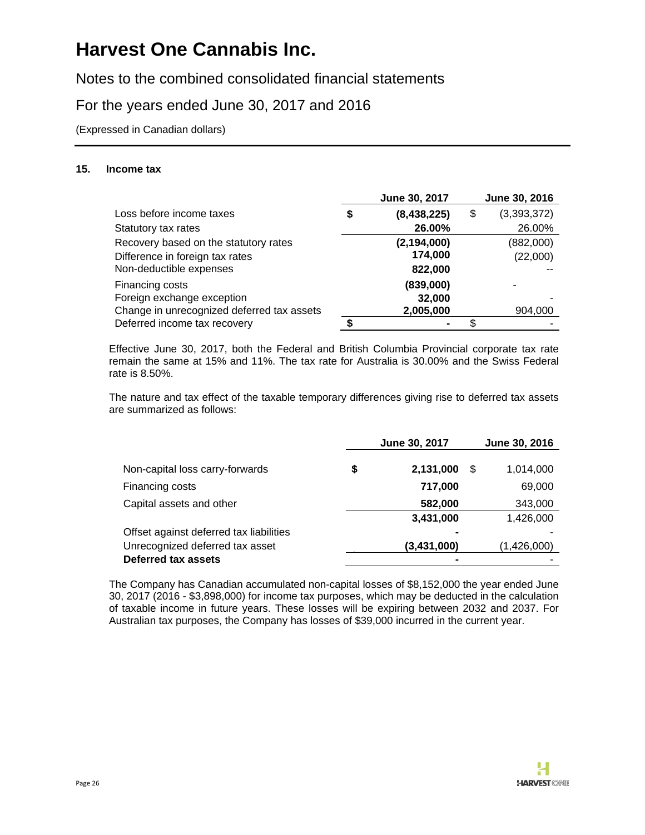Notes to the combined consolidated financial statements

### For the years ended June 30, 2017 and 2016

(Expressed in Canadian dollars)

#### **15. Income tax**

|                                            | June 30, 2017     | June 30, 2016     |
|--------------------------------------------|-------------------|-------------------|
| Loss before income taxes                   | \$<br>(8,438,225) | \$<br>(3,393,372) |
| Statutory tax rates                        | 26.00%            | 26.00%            |
| Recovery based on the statutory rates      | (2, 194, 000)     | (882,000)         |
| Difference in foreign tax rates            | 174,000           | (22,000)          |
| Non-deductible expenses                    | 822,000           |                   |
| Financing costs                            | (839,000)         |                   |
| Foreign exchange exception                 | 32,000            |                   |
| Change in unrecognized deferred tax assets | 2,005,000         | 904,000           |
| Deferred income tax recovery               |                   | \$                |

Effective June 30, 2017, both the Federal and British Columbia Provincial corporate tax rate remain the same at 15% and 11%. The tax rate for Australia is 30.00% and the Swiss Federal rate is 8.50%.

The nature and tax effect of the taxable temporary differences giving rise to deferred tax assets are summarized as follows:

|                                         | June 30, 2017   |    | June 30, 2016 |  |
|-----------------------------------------|-----------------|----|---------------|--|
|                                         |                 |    |               |  |
| Non-capital loss carry-forwards         | \$<br>2,131,000 | \$ | 1,014,000     |  |
| Financing costs                         | 717,000         |    | 69,000        |  |
| Capital assets and other                | 582,000         |    | 343,000       |  |
|                                         | 3,431,000       |    | 1,426,000     |  |
| Offset against deferred tax liabilities | $\blacksquare$  |    |               |  |
| Unrecognized deferred tax asset         | (3,431,000)     |    | (1,426,000)   |  |
| Deferred tax assets                     | $\blacksquare$  |    |               |  |

The Company has Canadian accumulated non-capital losses of \$8,152,000 the year ended June 30, 2017 (2016 - \$3,898,000) for income tax purposes, which may be deducted in the calculation of taxable income in future years. These losses will be expiring between 2032 and 2037. For Australian tax purposes, the Company has losses of \$39,000 incurred in the current year.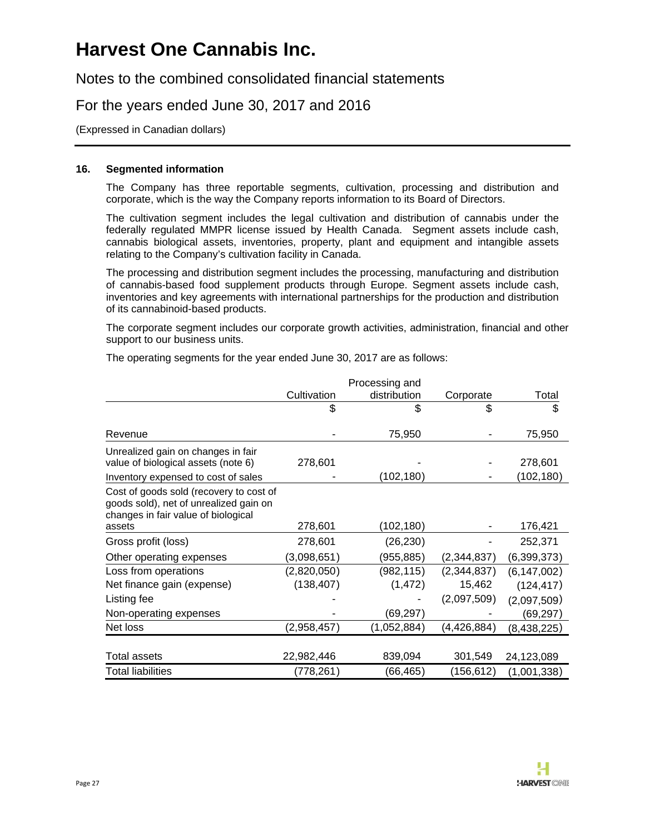Notes to the combined consolidated financial statements

### For the years ended June 30, 2017 and 2016

(Expressed in Canadian dollars)

#### **16. Segmented information**

The Company has three reportable segments, cultivation, processing and distribution and corporate, which is the way the Company reports information to its Board of Directors.

The cultivation segment includes the legal cultivation and distribution of cannabis under the federally regulated MMPR license issued by Health Canada. Segment assets include cash, cannabis biological assets, inventories, property, plant and equipment and intangible assets relating to the Company's cultivation facility in Canada.

The processing and distribution segment includes the processing, manufacturing and distribution of cannabis-based food supplement products through Europe. Segment assets include cash, inventories and key agreements with international partnerships for the production and distribution of its cannabinoid-based products.

The corporate segment includes our corporate growth activities, administration, financial and other support to our business units.

The operating segments for the year ended June 30, 2017 are as follows:

|                                                                                                                          |             | Processing and |               |               |
|--------------------------------------------------------------------------------------------------------------------------|-------------|----------------|---------------|---------------|
|                                                                                                                          | Cultivation | distribution   | Corporate     | Total         |
|                                                                                                                          | \$          | \$             | \$            | \$            |
|                                                                                                                          |             |                |               |               |
| Revenue                                                                                                                  |             | 75,950         |               | 75,950        |
| Unrealized gain on changes in fair                                                                                       |             |                |               |               |
| value of biological assets (note 6)                                                                                      | 278,601     |                |               | 278,601       |
| Inventory expensed to cost of sales                                                                                      |             | (102,180)      |               | (102,180)     |
| Cost of goods sold (recovery to cost of<br>goods sold), net of unrealized gain on<br>changes in fair value of biological |             |                |               |               |
| assets                                                                                                                   | 278,601     | (102,180)      |               | 176,421       |
| Gross profit (loss)                                                                                                      | 278,601     | (26, 230)      |               | 252,371       |
| Other operating expenses                                                                                                 | (3,098,651) | (955, 885)     | (2,344,837)   | (6,399,373)   |
| Loss from operations                                                                                                     | (2,820,050) | (982, 115)     | (2,344,837)   | (6, 147, 002) |
| Net finance gain (expense)                                                                                               | (138, 407)  | (1, 472)       | 15,462        | (124, 417)    |
| Listing fee                                                                                                              |             |                | (2,097,509)   | (2,097,509)   |
| Non-operating expenses                                                                                                   |             | (69,297)       |               | (69,297)      |
| Net loss                                                                                                                 | (2,958,457) | (1,052,884)    | (4, 426, 884) | (8,438,225)   |
|                                                                                                                          |             |                |               |               |
| Total assets                                                                                                             | 22,982,446  | 839,094        | 301,549       | 24,123,089    |
| <b>Total liabilities</b>                                                                                                 | (778, 261)  | (66,465)       | (156,612)     | (1,001,338)   |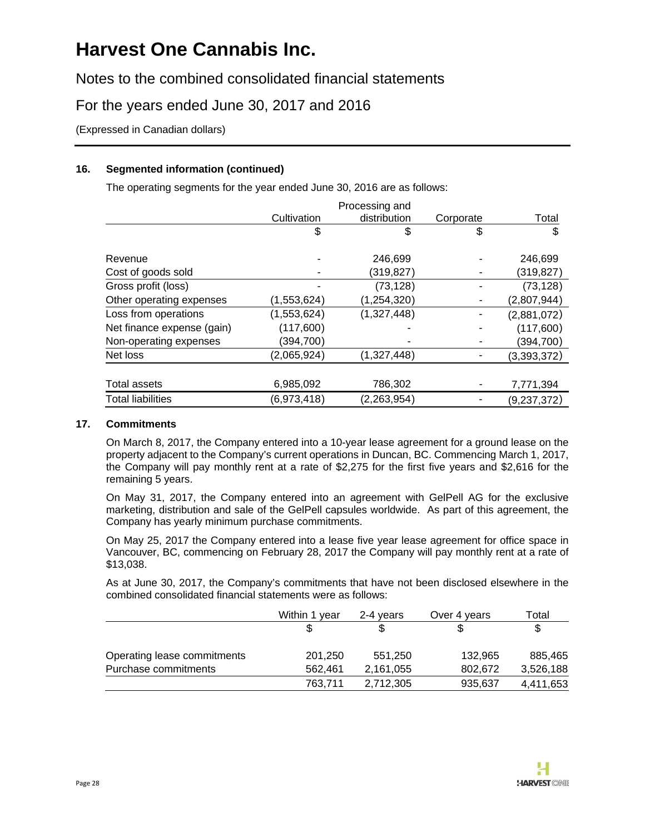Notes to the combined consolidated financial statements

### For the years ended June 30, 2017 and 2016

(Expressed in Canadian dollars)

### **16. Segmented information (continued)**

The operating segments for the year ended June 30, 2016 are as follows:

|                            |             | Processing and |           |             |
|----------------------------|-------------|----------------|-----------|-------------|
|                            | Cultivation | distribution   | Corporate | Total       |
|                            | \$          | \$             | \$        | \$          |
| Revenue                    |             | 246,699        |           | 246,699     |
| Cost of goods sold         |             | (319, 827)     |           | (319, 827)  |
| Gross profit (loss)        |             | (73, 128)      |           | (73, 128)   |
| Other operating expenses   | (1,553,624) | (1, 254, 320)  | ۰         | (2,807,944) |
| Loss from operations       | (1,553,624) | (1,327,448)    |           | (2,881,072) |
| Net finance expense (gain) | (117,600)   |                |           | (117,600)   |
| Non-operating expenses     | (394, 700)  |                |           | (394,700)   |
| Net loss                   | (2,065,924) | (1,327,448)    |           | (3,393,372) |
|                            |             |                |           |             |
| Total assets               | 6,985,092   | 786,302        |           | 7,771,394   |
| <b>Total liabilities</b>   | (6,973,418) | (2, 263, 954)  |           | (9,237,372) |

#### **17. Commitments**

On March 8, 2017, the Company entered into a 10-year lease agreement for a ground lease on the property adjacent to the Company's current operations in Duncan, BC. Commencing March 1, 2017, the Company will pay monthly rent at a rate of \$2,275 for the first five years and \$2,616 for the remaining 5 years.

On May 31, 2017, the Company entered into an agreement with GelPell AG for the exclusive marketing, distribution and sale of the GelPell capsules worldwide. As part of this agreement, the Company has yearly minimum purchase commitments.

On May 25, 2017 the Company entered into a lease five year lease agreement for office space in Vancouver, BC, commencing on February 28, 2017 the Company will pay monthly rent at a rate of \$13,038.

As at June 30, 2017, the Company's commitments that have not been disclosed elsewhere in the combined consolidated financial statements were as follows:

|                             | Within 1 year | 2-4 vears | Over 4 years | Total     |
|-----------------------------|---------------|-----------|--------------|-----------|
|                             |               |           |              | \$        |
| Operating lease commitments | 201,250       | 551.250   | 132.965      | 885.465   |
| Purchase commitments        | 562.461       | 2,161,055 | 802.672      | 3,526,188 |
|                             | 763.711       | 2,712,305 | 935,637      | 4,411,653 |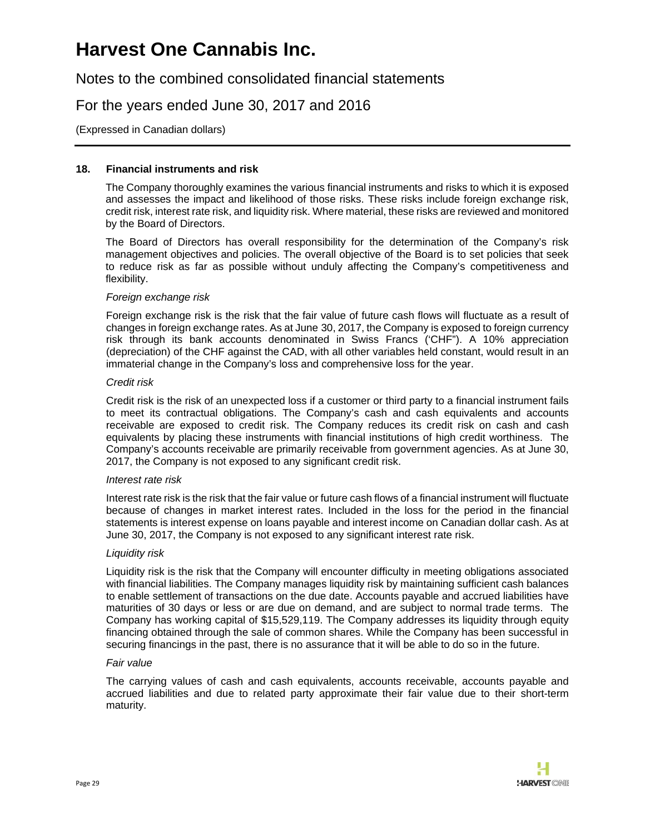Notes to the combined consolidated financial statements

For the years ended June 30, 2017 and 2016

(Expressed in Canadian dollars)

#### **18. Financial instruments and risk**

The Company thoroughly examines the various financial instruments and risks to which it is exposed and assesses the impact and likelihood of those risks. These risks include foreign exchange risk, credit risk, interest rate risk, and liquidity risk. Where material, these risks are reviewed and monitored by the Board of Directors.

The Board of Directors has overall responsibility for the determination of the Company's risk management objectives and policies. The overall objective of the Board is to set policies that seek to reduce risk as far as possible without unduly affecting the Company's competitiveness and flexibility.

#### *Foreign exchange risk*

Foreign exchange risk is the risk that the fair value of future cash flows will fluctuate as a result of changes in foreign exchange rates. As at June 30, 2017, the Company is exposed to foreign currency risk through its bank accounts denominated in Swiss Francs ('CHF"). A 10% appreciation (depreciation) of the CHF against the CAD, with all other variables held constant, would result in an immaterial change in the Company's loss and comprehensive loss for the year.

#### *Credit risk*

Credit risk is the risk of an unexpected loss if a customer or third party to a financial instrument fails to meet its contractual obligations. The Company's cash and cash equivalents and accounts receivable are exposed to credit risk. The Company reduces its credit risk on cash and cash equivalents by placing these instruments with financial institutions of high credit worthiness. The Company's accounts receivable are primarily receivable from government agencies. As at June 30, 2017, the Company is not exposed to any significant credit risk.

#### *Interest rate risk*

Interest rate risk is the risk that the fair value or future cash flows of a financial instrument will fluctuate because of changes in market interest rates. Included in the loss for the period in the financial statements is interest expense on loans payable and interest income on Canadian dollar cash. As at June 30, 2017, the Company is not exposed to any significant interest rate risk.

#### *Liquidity risk*

Liquidity risk is the risk that the Company will encounter difficulty in meeting obligations associated with financial liabilities. The Company manages liquidity risk by maintaining sufficient cash balances to enable settlement of transactions on the due date. Accounts payable and accrued liabilities have maturities of 30 days or less or are due on demand, and are subject to normal trade terms. The Company has working capital of \$15,529,119. The Company addresses its liquidity through equity financing obtained through the sale of common shares. While the Company has been successful in securing financings in the past, there is no assurance that it will be able to do so in the future.

#### *Fair value*

The carrying values of cash and cash equivalents, accounts receivable, accounts payable and accrued liabilities and due to related party approximate their fair value due to their short-term maturity.